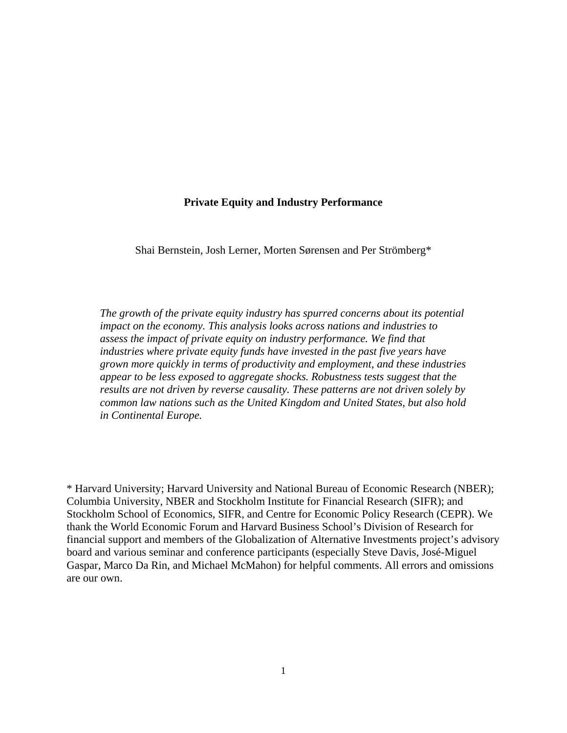# **Private Equity and Industry Performance**

Shai Bernstein, Josh Lerner, Morten Sørensen and Per Strömberg\*

*The growth of the private equity industry has spurred concerns about its potential impact on the economy. This analysis looks across nations and industries to assess the impact of private equity on industry performance. We find that industries where private equity funds have invested in the past five years have grown more quickly in terms of productivity and employment, and these industries appear to be less exposed to aggregate shocks. Robustness tests suggest that the results are not driven by reverse causality. These patterns are not driven solely by common law nations such as the United Kingdom and United States, but also hold in Continental Europe.* 

\* Harvard University; Harvard University and National Bureau of Economic Research (NBER); Columbia University, NBER and Stockholm Institute for Financial Research (SIFR); and Stockholm School of Economics, SIFR, and Centre for Economic Policy Research (CEPR). We thank the World Economic Forum and Harvard Business School's Division of Research for financial support and members of the Globalization of Alternative Investments project's advisory board and various seminar and conference participants (especially Steve Davis, José-Miguel Gaspar, Marco Da Rin, and Michael McMahon) for helpful comments. All errors and omissions are our own.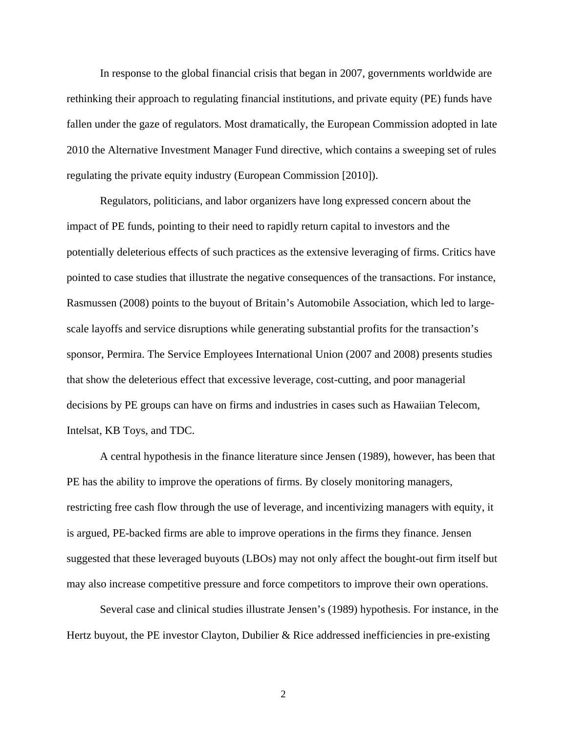In response to the global financial crisis that began in 2007, governments worldwide are rethinking their approach to regulating financial institutions, and private equity (PE) funds have fallen under the gaze of regulators. Most dramatically, the European Commission adopted in late 2010 the Alternative Investment Manager Fund directive, which contains a sweeping set of rules regulating the private equity industry (European Commission [2010]).

Regulators, politicians, and labor organizers have long expressed concern about the impact of PE funds, pointing to their need to rapidly return capital to investors and the potentially deleterious effects of such practices as the extensive leveraging of firms. Critics have pointed to case studies that illustrate the negative consequences of the transactions. For instance, Rasmussen (2008) points to the buyout of Britain's Automobile Association, which led to largescale layoffs and service disruptions while generating substantial profits for the transaction's sponsor, Permira. The Service Employees International Union (2007 and 2008) presents studies that show the deleterious effect that excessive leverage, cost-cutting, and poor managerial decisions by PE groups can have on firms and industries in cases such as Hawaiian Telecom, Intelsat, KB Toys, and TDC.

A central hypothesis in the finance literature since Jensen (1989), however, has been that PE has the ability to improve the operations of firms. By closely monitoring managers, restricting free cash flow through the use of leverage, and incentivizing managers with equity, it is argued, PE-backed firms are able to improve operations in the firms they finance. Jensen suggested that these leveraged buyouts (LBOs) may not only affect the bought-out firm itself but may also increase competitive pressure and force competitors to improve their own operations.

Several case and clinical studies illustrate Jensen's (1989) hypothesis. For instance, in the Hertz buyout, the PE investor Clayton, Dubilier  $\&$  Rice addressed inefficiencies in pre-existing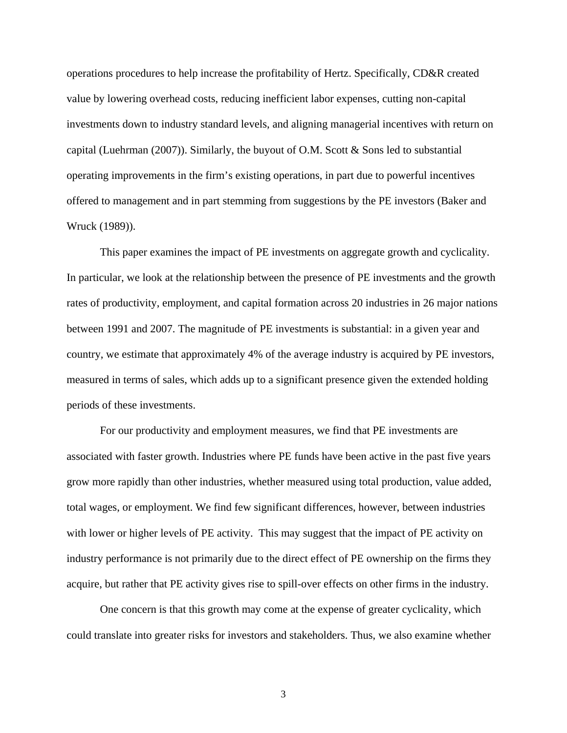operations procedures to help increase the profitability of Hertz. Specifically, CD&R created value by lowering overhead costs, reducing inefficient labor expenses, cutting non-capital investments down to industry standard levels, and aligning managerial incentives with return on capital (Luehrman (2007)). Similarly, the buyout of O.M. Scott & Sons led to substantial operating improvements in the firm's existing operations, in part due to powerful incentives offered to management and in part stemming from suggestions by the PE investors (Baker and Wruck (1989)).

This paper examines the impact of PE investments on aggregate growth and cyclicality. In particular, we look at the relationship between the presence of PE investments and the growth rates of productivity, employment, and capital formation across 20 industries in 26 major nations between 1991 and 2007. The magnitude of PE investments is substantial: in a given year and country, we estimate that approximately 4% of the average industry is acquired by PE investors, measured in terms of sales, which adds up to a significant presence given the extended holding periods of these investments.

For our productivity and employment measures, we find that PE investments are associated with faster growth. Industries where PE funds have been active in the past five years grow more rapidly than other industries, whether measured using total production, value added, total wages, or employment. We find few significant differences, however, between industries with lower or higher levels of PE activity. This may suggest that the impact of PE activity on industry performance is not primarily due to the direct effect of PE ownership on the firms they acquire, but rather that PE activity gives rise to spill-over effects on other firms in the industry.

One concern is that this growth may come at the expense of greater cyclicality, which could translate into greater risks for investors and stakeholders. Thus, we also examine whether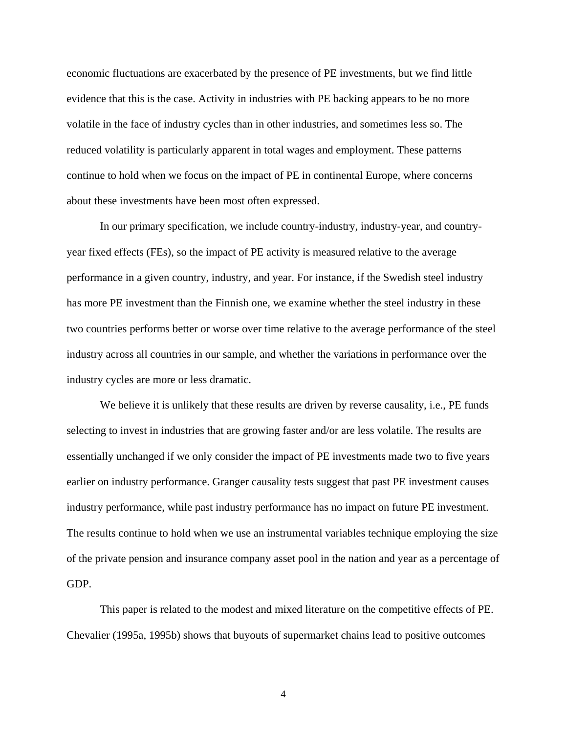economic fluctuations are exacerbated by the presence of PE investments, but we find little evidence that this is the case. Activity in industries with PE backing appears to be no more volatile in the face of industry cycles than in other industries, and sometimes less so. The reduced volatility is particularly apparent in total wages and employment. These patterns continue to hold when we focus on the impact of PE in continental Europe, where concerns about these investments have been most often expressed.

In our primary specification, we include country-industry, industry-year, and countryyear fixed effects (FEs), so the impact of PE activity is measured relative to the average performance in a given country, industry, and year. For instance, if the Swedish steel industry has more PE investment than the Finnish one, we examine whether the steel industry in these two countries performs better or worse over time relative to the average performance of the steel industry across all countries in our sample, and whether the variations in performance over the industry cycles are more or less dramatic.

We believe it is unlikely that these results are driven by reverse causality, i.e., PE funds selecting to invest in industries that are growing faster and/or are less volatile. The results are essentially unchanged if we only consider the impact of PE investments made two to five years earlier on industry performance. Granger causality tests suggest that past PE investment causes industry performance, while past industry performance has no impact on future PE investment. The results continue to hold when we use an instrumental variables technique employing the size of the private pension and insurance company asset pool in the nation and year as a percentage of GDP.

This paper is related to the modest and mixed literature on the competitive effects of PE. Chevalier (1995a, 1995b) shows that buyouts of supermarket chains lead to positive outcomes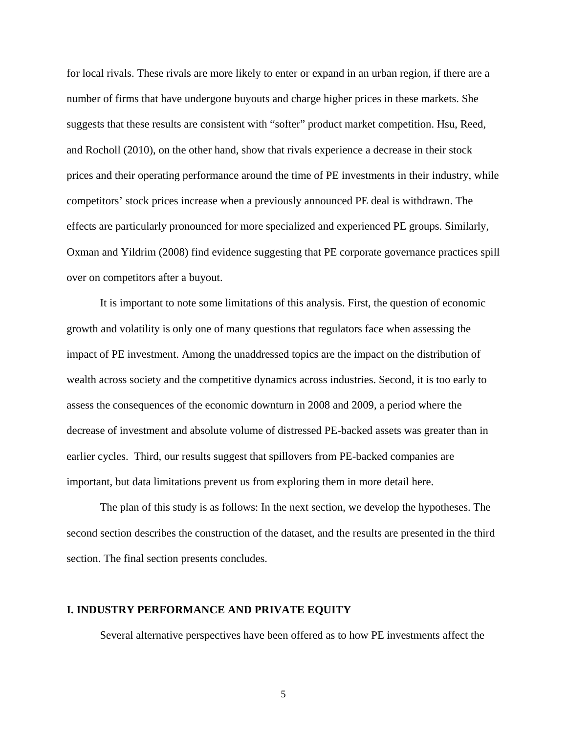for local rivals. These rivals are more likely to enter or expand in an urban region, if there are a number of firms that have undergone buyouts and charge higher prices in these markets. She suggests that these results are consistent with "softer" product market competition. Hsu, Reed, and Rocholl (2010), on the other hand, show that rivals experience a decrease in their stock prices and their operating performance around the time of PE investments in their industry, while competitors' stock prices increase when a previously announced PE deal is withdrawn. The effects are particularly pronounced for more specialized and experienced PE groups. Similarly, Oxman and Yildrim (2008) find evidence suggesting that PE corporate governance practices spill over on competitors after a buyout.

It is important to note some limitations of this analysis. First, the question of economic growth and volatility is only one of many questions that regulators face when assessing the impact of PE investment. Among the unaddressed topics are the impact on the distribution of wealth across society and the competitive dynamics across industries. Second, it is too early to assess the consequences of the economic downturn in 2008 and 2009, a period where the decrease of investment and absolute volume of distressed PE-backed assets was greater than in earlier cycles. Third, our results suggest that spillovers from PE-backed companies are important, but data limitations prevent us from exploring them in more detail here.

The plan of this study is as follows: In the next section, we develop the hypotheses. The second section describes the construction of the dataset, and the results are presented in the third section. The final section presents concludes.

# **I. INDUSTRY PERFORMANCE AND PRIVATE EQUITY**

Several alternative perspectives have been offered as to how PE investments affect the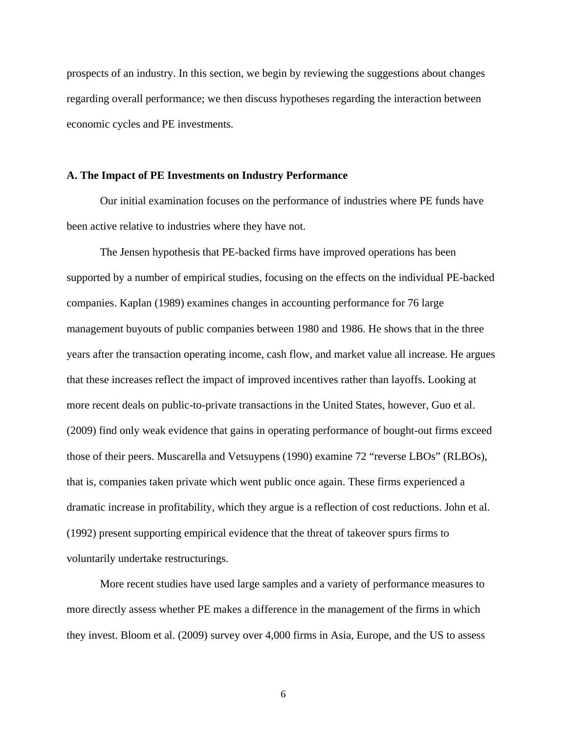prospects of an industry. In this section, we begin by reviewing the suggestions about changes regarding overall performance; we then discuss hypotheses regarding the interaction between economic cycles and PE investments.

#### **A. The Impact of PE Investments on Industry Performance**

Our initial examination focuses on the performance of industries where PE funds have been active relative to industries where they have not.

The Jensen hypothesis that PE-backed firms have improved operations has been supported by a number of empirical studies, focusing on the effects on the individual PE-backed companies. Kaplan (1989) examines changes in accounting performance for 76 large management buyouts of public companies between 1980 and 1986. He shows that in the three years after the transaction operating income, cash flow, and market value all increase. He argues that these increases reflect the impact of improved incentives rather than layoffs. Looking at more recent deals on public-to-private transactions in the United States, however, Guo et al. (2009) find only weak evidence that gains in operating performance of bought-out firms exceed those of their peers. Muscarella and Vetsuypens (1990) examine 72 "reverse LBOs" (RLBOs), that is, companies taken private which went public once again. These firms experienced a dramatic increase in profitability, which they argue is a reflection of cost reductions. John et al. (1992) present supporting empirical evidence that the threat of takeover spurs firms to voluntarily undertake restructurings.

More recent studies have used large samples and a variety of performance measures to more directly assess whether PE makes a difference in the management of the firms in which they invest. Bloom et al. (2009) survey over 4,000 firms in Asia, Europe, and the US to assess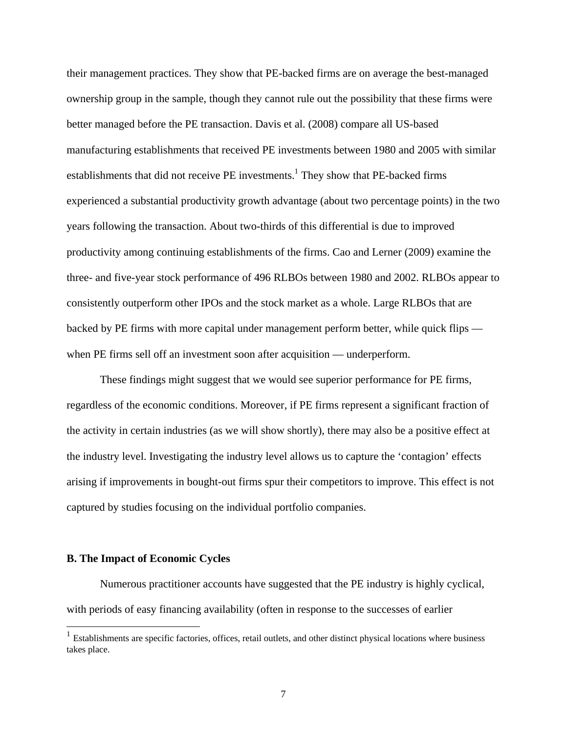their management practices. They show that PE-backed firms are on average the best-managed ownership group in the sample, though they cannot rule out the possibility that these firms were better managed before the PE transaction. Davis et al. (2008) compare all US-based manufacturing establishments that received PE investments between 1980 and 2005 with similar establishments that did not receive PE investments.<sup>1</sup> They show that PE-backed firms experienced a substantial productivity growth advantage (about two percentage points) in the two years following the transaction. About two-thirds of this differential is due to improved productivity among continuing establishments of the firms. Cao and Lerner (2009) examine the three- and five-year stock performance of 496 RLBOs between 1980 and 2002. RLBOs appear to consistently outperform other IPOs and the stock market as a whole. Large RLBOs that are backed by PE firms with more capital under management perform better, while quick flips when PE firms sell off an investment soon after acquisition — underperform.

These findings might suggest that we would see superior performance for PE firms, regardless of the economic conditions. Moreover, if PE firms represent a significant fraction of the activity in certain industries (as we will show shortly), there may also be a positive effect at the industry level. Investigating the industry level allows us to capture the 'contagion' effects arising if improvements in bought-out firms spur their competitors to improve. This effect is not captured by studies focusing on the individual portfolio companies.

#### **B. The Impact of Economic Cycles**

l

Numerous practitioner accounts have suggested that the PE industry is highly cyclical, with periods of easy financing availability (often in response to the successes of earlier

 $<sup>1</sup>$  Establishments are specific factories, offices, retail outlets, and other distinct physical locations where business</sup> takes place.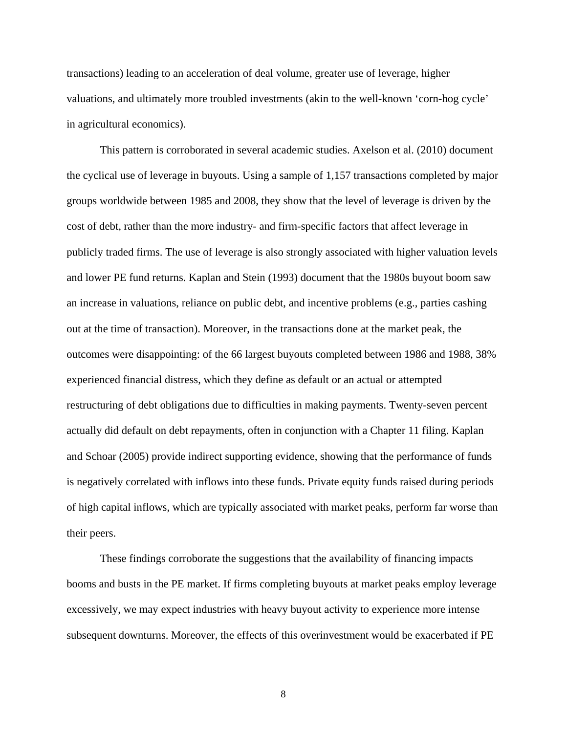transactions) leading to an acceleration of deal volume, greater use of leverage, higher valuations, and ultimately more troubled investments (akin to the well-known 'corn-hog cycle' in agricultural economics).

This pattern is corroborated in several academic studies. Axelson et al. (2010) document the cyclical use of leverage in buyouts. Using a sample of 1,157 transactions completed by major groups worldwide between 1985 and 2008, they show that the level of leverage is driven by the cost of debt, rather than the more industry- and firm-specific factors that affect leverage in publicly traded firms. The use of leverage is also strongly associated with higher valuation levels and lower PE fund returns. Kaplan and Stein (1993) document that the 1980s buyout boom saw an increase in valuations, reliance on public debt, and incentive problems (e.g., parties cashing out at the time of transaction). Moreover, in the transactions done at the market peak, the outcomes were disappointing: of the 66 largest buyouts completed between 1986 and 1988, 38% experienced financial distress, which they define as default or an actual or attempted restructuring of debt obligations due to difficulties in making payments. Twenty-seven percent actually did default on debt repayments, often in conjunction with a Chapter 11 filing. Kaplan and Schoar (2005) provide indirect supporting evidence, showing that the performance of funds is negatively correlated with inflows into these funds. Private equity funds raised during periods of high capital inflows, which are typically associated with market peaks, perform far worse than their peers.

These findings corroborate the suggestions that the availability of financing impacts booms and busts in the PE market. If firms completing buyouts at market peaks employ leverage excessively, we may expect industries with heavy buyout activity to experience more intense subsequent downturns. Moreover, the effects of this overinvestment would be exacerbated if PE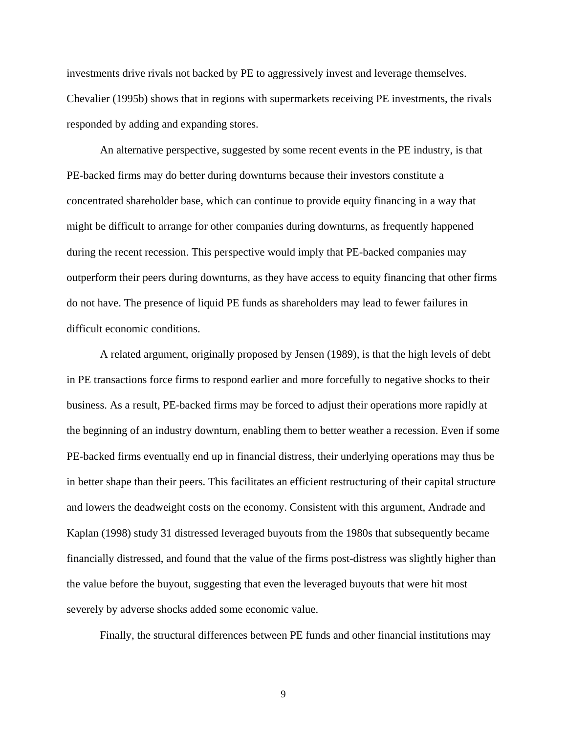investments drive rivals not backed by PE to aggressively invest and leverage themselves. Chevalier (1995b) shows that in regions with supermarkets receiving PE investments, the rivals responded by adding and expanding stores.

An alternative perspective, suggested by some recent events in the PE industry, is that PE-backed firms may do better during downturns because their investors constitute a concentrated shareholder base, which can continue to provide equity financing in a way that might be difficult to arrange for other companies during downturns, as frequently happened during the recent recession. This perspective would imply that PE-backed companies may outperform their peers during downturns, as they have access to equity financing that other firms do not have. The presence of liquid PE funds as shareholders may lead to fewer failures in difficult economic conditions.

A related argument, originally proposed by Jensen (1989), is that the high levels of debt in PE transactions force firms to respond earlier and more forcefully to negative shocks to their business. As a result, PE-backed firms may be forced to adjust their operations more rapidly at the beginning of an industry downturn, enabling them to better weather a recession. Even if some PE-backed firms eventually end up in financial distress, their underlying operations may thus be in better shape than their peers. This facilitates an efficient restructuring of their capital structure and lowers the deadweight costs on the economy. Consistent with this argument, Andrade and Kaplan (1998) study 31 distressed leveraged buyouts from the 1980s that subsequently became financially distressed, and found that the value of the firms post-distress was slightly higher than the value before the buyout, suggesting that even the leveraged buyouts that were hit most severely by adverse shocks added some economic value.

Finally, the structural differences between PE funds and other financial institutions may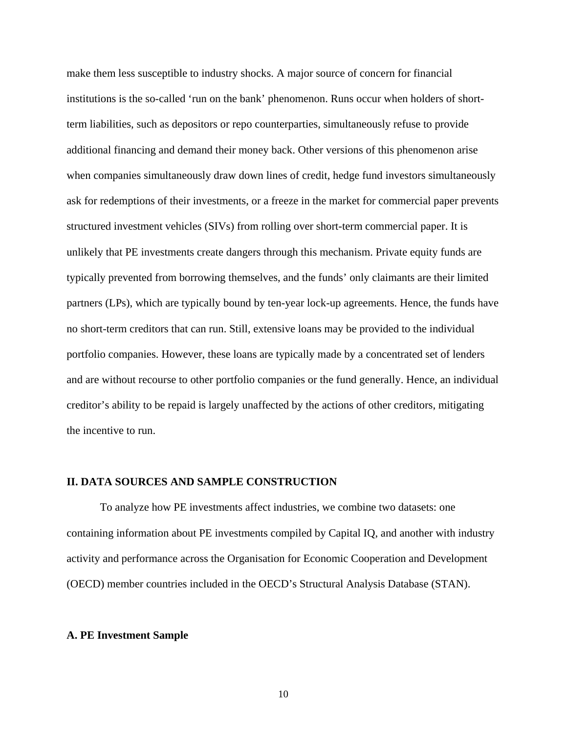make them less susceptible to industry shocks. A major source of concern for financial institutions is the so-called 'run on the bank' phenomenon. Runs occur when holders of shortterm liabilities, such as depositors or repo counterparties, simultaneously refuse to provide additional financing and demand their money back. Other versions of this phenomenon arise when companies simultaneously draw down lines of credit, hedge fund investors simultaneously ask for redemptions of their investments, or a freeze in the market for commercial paper prevents structured investment vehicles (SIVs) from rolling over short-term commercial paper. It is unlikely that PE investments create dangers through this mechanism. Private equity funds are typically prevented from borrowing themselves, and the funds' only claimants are their limited partners (LPs), which are typically bound by ten-year lock-up agreements. Hence, the funds have no short-term creditors that can run. Still, extensive loans may be provided to the individual portfolio companies. However, these loans are typically made by a concentrated set of lenders and are without recourse to other portfolio companies or the fund generally. Hence, an individual creditor's ability to be repaid is largely unaffected by the actions of other creditors, mitigating the incentive to run.

#### **II. DATA SOURCES AND SAMPLE CONSTRUCTION**

To analyze how PE investments affect industries, we combine two datasets: one containing information about PE investments compiled by Capital IQ, and another with industry activity and performance across the Organisation for Economic Cooperation and Development (OECD) member countries included in the OECD's Structural Analysis Database (STAN).

#### **A. PE Investment Sample**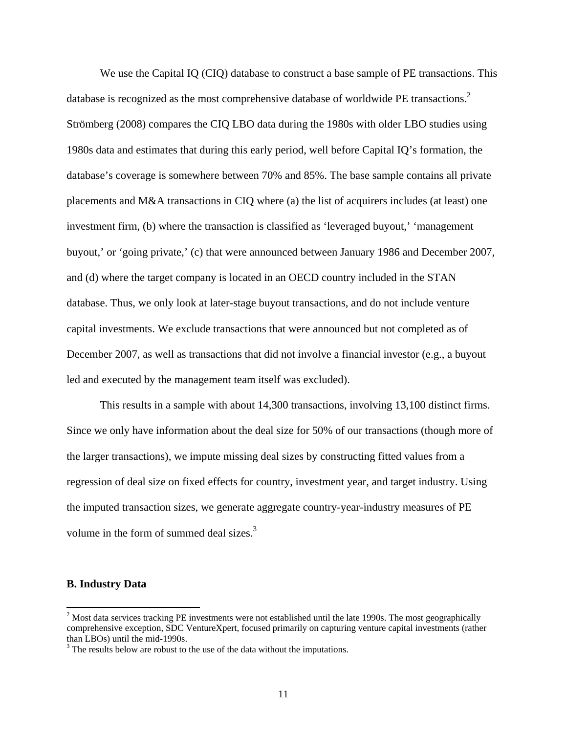We use the Capital IQ (CIQ) database to construct a base sample of PE transactions. This database is recognized as the most comprehensive database of worldwide PE transactions.<sup>2</sup> Strömberg (2008) compares the CIQ LBO data during the 1980s with older LBO studies using 1980s data and estimates that during this early period, well before Capital IQ's formation, the database's coverage is somewhere between 70% and 85%. The base sample contains all private placements and M&A transactions in CIQ where (a) the list of acquirers includes (at least) one investment firm, (b) where the transaction is classified as 'leveraged buyout,' 'management buyout,' or 'going private,' (c) that were announced between January 1986 and December 2007, and (d) where the target company is located in an OECD country included in the STAN database. Thus, we only look at later-stage buyout transactions, and do not include venture capital investments. We exclude transactions that were announced but not completed as of December 2007, as well as transactions that did not involve a financial investor (e.g., a buyout led and executed by the management team itself was excluded).

This results in a sample with about 14,300 transactions, involving 13,100 distinct firms. Since we only have information about the deal size for 50% of our transactions (though more of the larger transactions), we impute missing deal sizes by constructing fitted values from a regression of deal size on fixed effects for country, investment year, and target industry. Using the imputed transaction sizes, we generate aggregate country-year-industry measures of PE volume in the form of summed deal sizes.<sup>3</sup>

#### **B. Industry Data**

l

 $2^{2}$  Most data services tracking PE investments were not established until the late 1990s. The most geographically comprehensive exception, SDC VentureXpert, focused primarily on capturing venture capital investments (rather than LBOs) until the mid-1990s.

 $3$  The results below are robust to the use of the data without the imputations.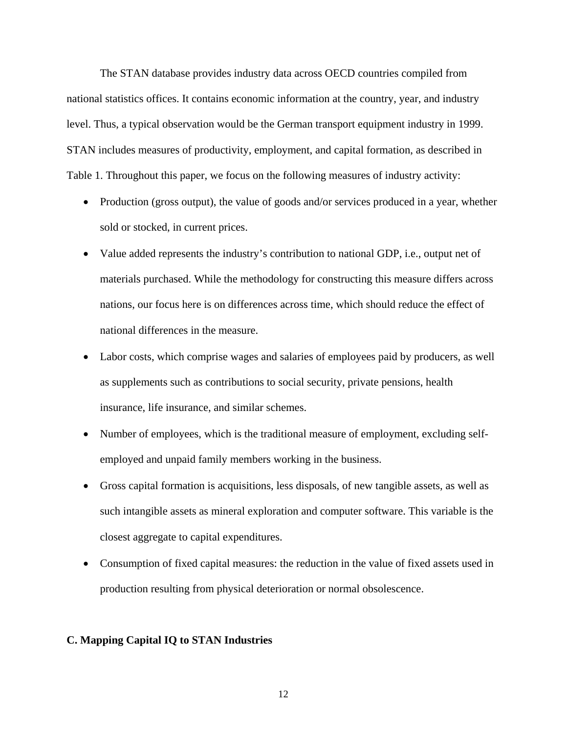The STAN database provides industry data across OECD countries compiled from national statistics offices. It contains economic information at the country, year, and industry level. Thus, a typical observation would be the German transport equipment industry in 1999. STAN includes measures of productivity, employment, and capital formation, as described in Table 1. Throughout this paper, we focus on the following measures of industry activity:

- Production (gross output), the value of goods and/or services produced in a year, whether sold or stocked, in current prices.
- Value added represents the industry's contribution to national GDP, i.e., output net of materials purchased. While the methodology for constructing this measure differs across nations, our focus here is on differences across time, which should reduce the effect of national differences in the measure.
- Labor costs, which comprise wages and salaries of employees paid by producers, as well as supplements such as contributions to social security, private pensions, health insurance, life insurance, and similar schemes.
- Number of employees, which is the traditional measure of employment, excluding selfemployed and unpaid family members working in the business.
- Gross capital formation is acquisitions, less disposals, of new tangible assets, as well as such intangible assets as mineral exploration and computer software. This variable is the closest aggregate to capital expenditures.
- Consumption of fixed capital measures: the reduction in the value of fixed assets used in production resulting from physical deterioration or normal obsolescence.

#### **C. Mapping Capital IQ to STAN Industries**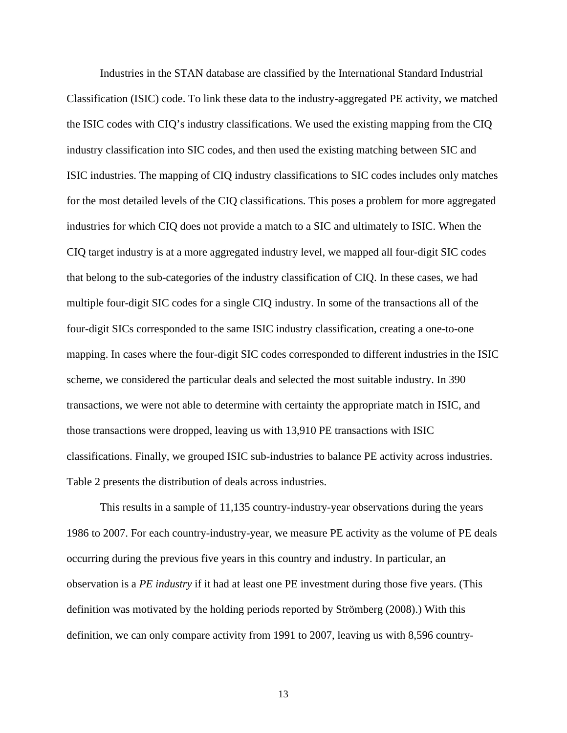Industries in the STAN database are classified by the International Standard Industrial Classification (ISIC) code. To link these data to the industry-aggregated PE activity, we matched the ISIC codes with CIQ's industry classifications. We used the existing mapping from the CIQ industry classification into SIC codes, and then used the existing matching between SIC and ISIC industries. The mapping of CIQ industry classifications to SIC codes includes only matches for the most detailed levels of the CIQ classifications. This poses a problem for more aggregated industries for which CIQ does not provide a match to a SIC and ultimately to ISIC. When the CIQ target industry is at a more aggregated industry level, we mapped all four-digit SIC codes that belong to the sub-categories of the industry classification of CIQ. In these cases, we had multiple four-digit SIC codes for a single CIQ industry. In some of the transactions all of the four-digit SICs corresponded to the same ISIC industry classification, creating a one-to-one mapping. In cases where the four-digit SIC codes corresponded to different industries in the ISIC scheme, we considered the particular deals and selected the most suitable industry. In 390 transactions, we were not able to determine with certainty the appropriate match in ISIC, and those transactions were dropped, leaving us with 13,910 PE transactions with ISIC classifications. Finally, we grouped ISIC sub-industries to balance PE activity across industries. Table 2 presents the distribution of deals across industries.

This results in a sample of 11,135 country-industry-year observations during the years 1986 to 2007. For each country-industry-year, we measure PE activity as the volume of PE deals occurring during the previous five years in this country and industry. In particular, an observation is a *PE industry* if it had at least one PE investment during those five years. (This definition was motivated by the holding periods reported by Strömberg (2008).) With this definition, we can only compare activity from 1991 to 2007, leaving us with 8,596 country-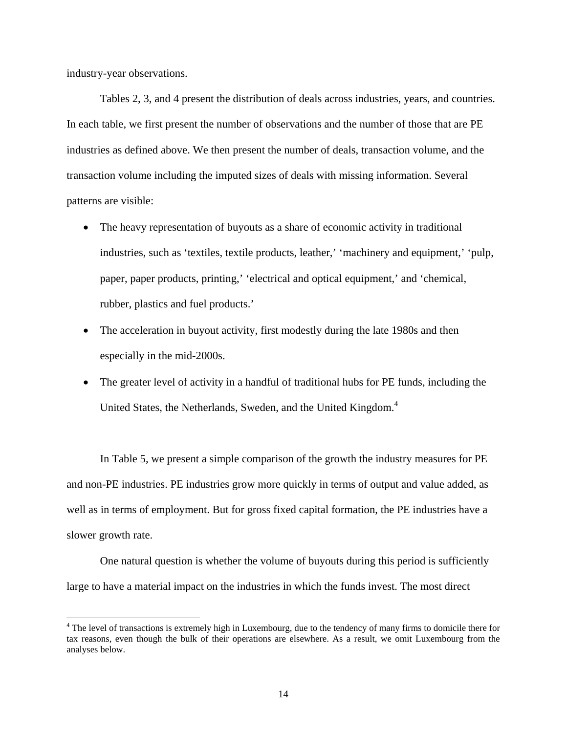industry-year observations.

 $\overline{a}$ 

Tables 2, 3, and 4 present the distribution of deals across industries, years, and countries. In each table, we first present the number of observations and the number of those that are PE industries as defined above. We then present the number of deals, transaction volume, and the transaction volume including the imputed sizes of deals with missing information. Several patterns are visible:

- The heavy representation of buyouts as a share of economic activity in traditional industries, such as 'textiles, textile products, leather,' 'machinery and equipment,' 'pulp, paper, paper products, printing,' 'electrical and optical equipment,' and 'chemical, rubber, plastics and fuel products.'
- The acceleration in buyout activity, first modestly during the late 1980s and then especially in the mid-2000s.
- The greater level of activity in a handful of traditional hubs for PE funds, including the United States, the Netherlands, Sweden, and the United Kingdom.<sup>4</sup>

In Table 5, we present a simple comparison of the growth the industry measures for PE and non-PE industries. PE industries grow more quickly in terms of output and value added, as well as in terms of employment. But for gross fixed capital formation, the PE industries have a slower growth rate.

One natural question is whether the volume of buyouts during this period is sufficiently large to have a material impact on the industries in which the funds invest. The most direct

<sup>&</sup>lt;sup>4</sup> The level of transactions is extremely high in Luxembourg, due to the tendency of many firms to domicile there for tax reasons, even though the bulk of their operations are elsewhere. As a result, we omit Luxembourg from the analyses below.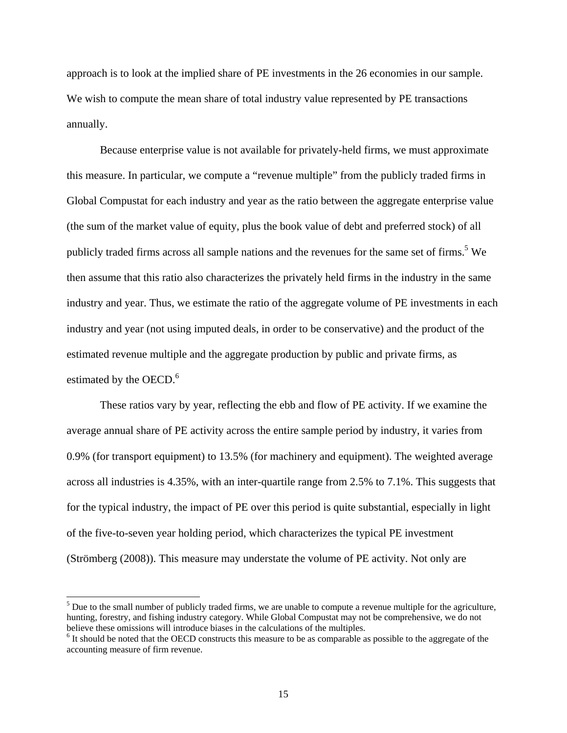approach is to look at the implied share of PE investments in the 26 economies in our sample. We wish to compute the mean share of total industry value represented by PE transactions annually.

Because enterprise value is not available for privately-held firms, we must approximate this measure. In particular, we compute a "revenue multiple" from the publicly traded firms in Global Compustat for each industry and year as the ratio between the aggregate enterprise value (the sum of the market value of equity, plus the book value of debt and preferred stock) of all publicly traded firms across all sample nations and the revenues for the same set of firms.<sup>5</sup> We then assume that this ratio also characterizes the privately held firms in the industry in the same industry and year. Thus, we estimate the ratio of the aggregate volume of PE investments in each industry and year (not using imputed deals, in order to be conservative) and the product of the estimated revenue multiple and the aggregate production by public and private firms, as estimated by the OECD.<sup>6</sup>

These ratios vary by year, reflecting the ebb and flow of PE activity. If we examine the average annual share of PE activity across the entire sample period by industry, it varies from 0.9% (for transport equipment) to 13.5% (for machinery and equipment). The weighted average across all industries is 4.35%, with an inter-quartile range from 2.5% to 7.1%. This suggests that for the typical industry, the impact of PE over this period is quite substantial, especially in light of the five-to-seven year holding period, which characterizes the typical PE investment (Strömberg (2008)). This measure may understate the volume of PE activity. Not only are

l

 $<sup>5</sup>$  Due to the small number of publicly traded firms, we are unable to compute a revenue multiple for the agriculture,</sup> hunting, forestry, and fishing industry category. While Global Compustat may not be comprehensive, we do not believe these omissions will introduce biases in the calculations of the multiples.

<sup>&</sup>lt;sup>6</sup> It should be noted that the OECD constructs this measure to be as comparable as possible to the aggregate of the accounting measure of firm revenue.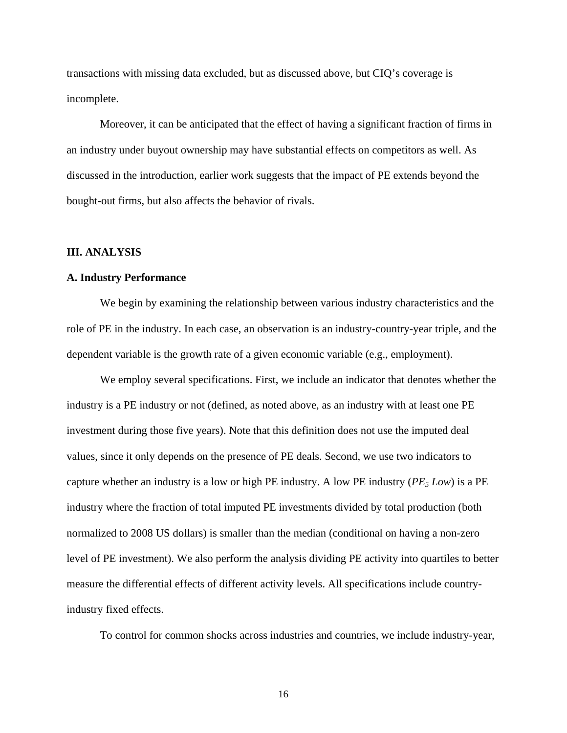transactions with missing data excluded, but as discussed above, but CIQ's coverage is incomplete.

Moreover, it can be anticipated that the effect of having a significant fraction of firms in an industry under buyout ownership may have substantial effects on competitors as well. As discussed in the introduction, earlier work suggests that the impact of PE extends beyond the bought-out firms, but also affects the behavior of rivals.

## **III. ANALYSIS**

## **A. Industry Performance**

We begin by examining the relationship between various industry characteristics and the role of PE in the industry. In each case, an observation is an industry-country-year triple, and the dependent variable is the growth rate of a given economic variable (e.g., employment).

We employ several specifications. First, we include an indicator that denotes whether the industry is a PE industry or not (defined, as noted above, as an industry with at least one PE investment during those five years). Note that this definition does not use the imputed deal values, since it only depends on the presence of PE deals. Second, we use two indicators to capture whether an industry is a low or high PE industry. A low PE industry  $(PE_5 \, Low)$  is a PE industry where the fraction of total imputed PE investments divided by total production (both normalized to 2008 US dollars) is smaller than the median (conditional on having a non-zero level of PE investment). We also perform the analysis dividing PE activity into quartiles to better measure the differential effects of different activity levels. All specifications include countryindustry fixed effects.

To control for common shocks across industries and countries, we include industry-year,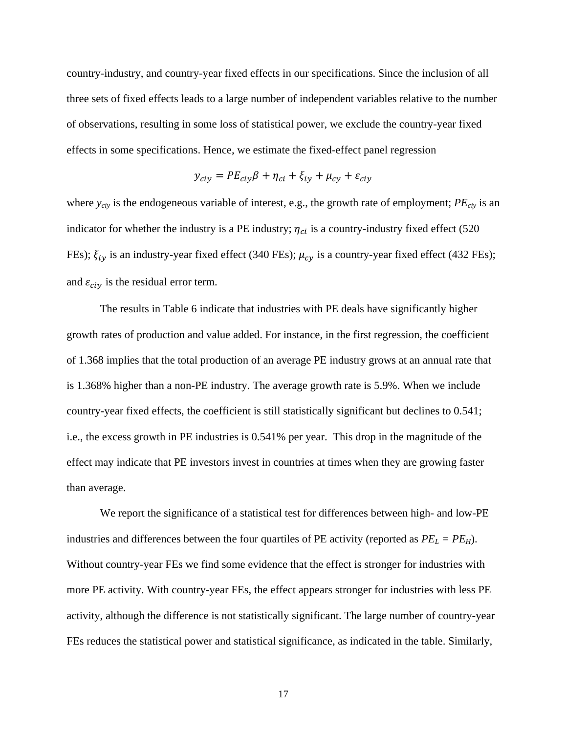country-industry, and country-year fixed effects in our specifications. Since the inclusion of all three sets of fixed effects leads to a large number of independent variables relative to the number of observations, resulting in some loss of statistical power, we exclude the country-year fixed effects in some specifications. Hence, we estimate the fixed-effect panel regression

$$
y_{ciy} = PE_{ciy}\beta + \eta_{ci} + \xi_{iy} + \mu_{cy} + \varepsilon_{ciy}
$$

where *y<sub>civ</sub>* is the endogeneous variable of interest, e.g., the growth rate of employment; *PE<sub>civ</sub>* is an indicator for whether the industry is a PE industry;  $\eta_{ci}$  is a country-industry fixed effect (520 FEs);  $\xi_{iv}$  is an industry-year fixed effect (340 FEs);  $\mu_{cv}$  is a country-year fixed effect (432 FEs); and  $\varepsilon_{\text{city}}$  is the residual error term.

The results in Table 6 indicate that industries with PE deals have significantly higher growth rates of production and value added. For instance, in the first regression, the coefficient of 1.368 implies that the total production of an average PE industry grows at an annual rate that is 1.368% higher than a non-PE industry. The average growth rate is 5.9%. When we include country-year fixed effects, the coefficient is still statistically significant but declines to 0.541; i.e., the excess growth in PE industries is 0.541% per year. This drop in the magnitude of the effect may indicate that PE investors invest in countries at times when they are growing faster than average.

We report the significance of a statistical test for differences between high- and low-PE industries and differences between the four quartiles of PE activity (reported as  $PE_L = PE_H$ ). Without country-year FEs we find some evidence that the effect is stronger for industries with more PE activity. With country-year FEs, the effect appears stronger for industries with less PE activity, although the difference is not statistically significant. The large number of country-year FEs reduces the statistical power and statistical significance, as indicated in the table. Similarly,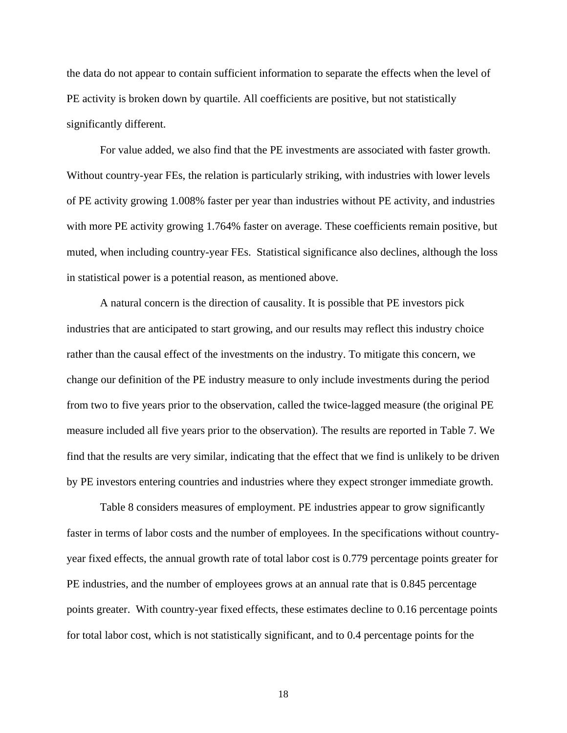the data do not appear to contain sufficient information to separate the effects when the level of PE activity is broken down by quartile. All coefficients are positive, but not statistically significantly different.

For value added, we also find that the PE investments are associated with faster growth. Without country-year FEs, the relation is particularly striking, with industries with lower levels of PE activity growing 1.008% faster per year than industries without PE activity, and industries with more PE activity growing 1.764% faster on average. These coefficients remain positive, but muted, when including country-year FEs. Statistical significance also declines, although the loss in statistical power is a potential reason, as mentioned above.

A natural concern is the direction of causality. It is possible that PE investors pick industries that are anticipated to start growing, and our results may reflect this industry choice rather than the causal effect of the investments on the industry. To mitigate this concern, we change our definition of the PE industry measure to only include investments during the period from two to five years prior to the observation, called the twice-lagged measure (the original PE measure included all five years prior to the observation). The results are reported in Table 7. We find that the results are very similar, indicating that the effect that we find is unlikely to be driven by PE investors entering countries and industries where they expect stronger immediate growth.

Table 8 considers measures of employment. PE industries appear to grow significantly faster in terms of labor costs and the number of employees. In the specifications without countryyear fixed effects, the annual growth rate of total labor cost is 0.779 percentage points greater for PE industries, and the number of employees grows at an annual rate that is 0.845 percentage points greater. With country-year fixed effects, these estimates decline to 0.16 percentage points for total labor cost, which is not statistically significant, and to 0.4 percentage points for the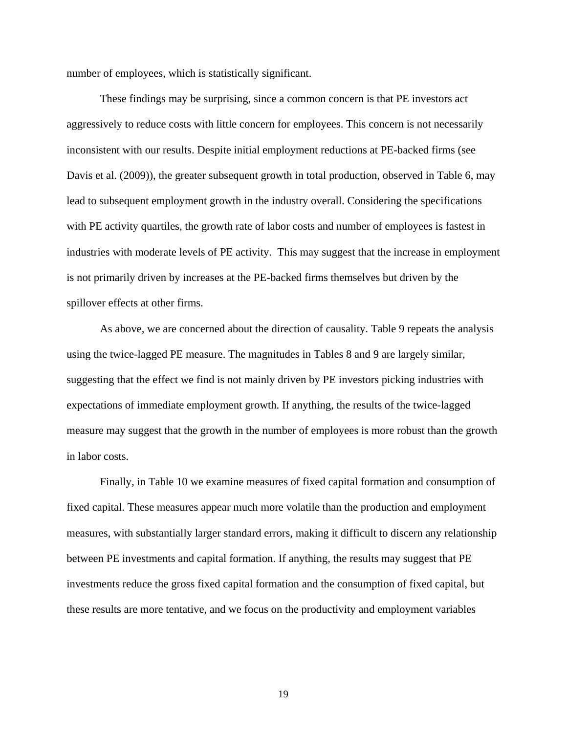number of employees, which is statistically significant.

These findings may be surprising, since a common concern is that PE investors act aggressively to reduce costs with little concern for employees. This concern is not necessarily inconsistent with our results. Despite initial employment reductions at PE-backed firms (see Davis et al. (2009)), the greater subsequent growth in total production, observed in Table 6, may lead to subsequent employment growth in the industry overall. Considering the specifications with PE activity quartiles, the growth rate of labor costs and number of employees is fastest in industries with moderate levels of PE activity. This may suggest that the increase in employment is not primarily driven by increases at the PE-backed firms themselves but driven by the spillover effects at other firms.

As above, we are concerned about the direction of causality. Table 9 repeats the analysis using the twice-lagged PE measure. The magnitudes in Tables 8 and 9 are largely similar, suggesting that the effect we find is not mainly driven by PE investors picking industries with expectations of immediate employment growth. If anything, the results of the twice-lagged measure may suggest that the growth in the number of employees is more robust than the growth in labor costs.

Finally, in Table 10 we examine measures of fixed capital formation and consumption of fixed capital. These measures appear much more volatile than the production and employment measures, with substantially larger standard errors, making it difficult to discern any relationship between PE investments and capital formation. If anything, the results may suggest that PE investments reduce the gross fixed capital formation and the consumption of fixed capital, but these results are more tentative, and we focus on the productivity and employment variables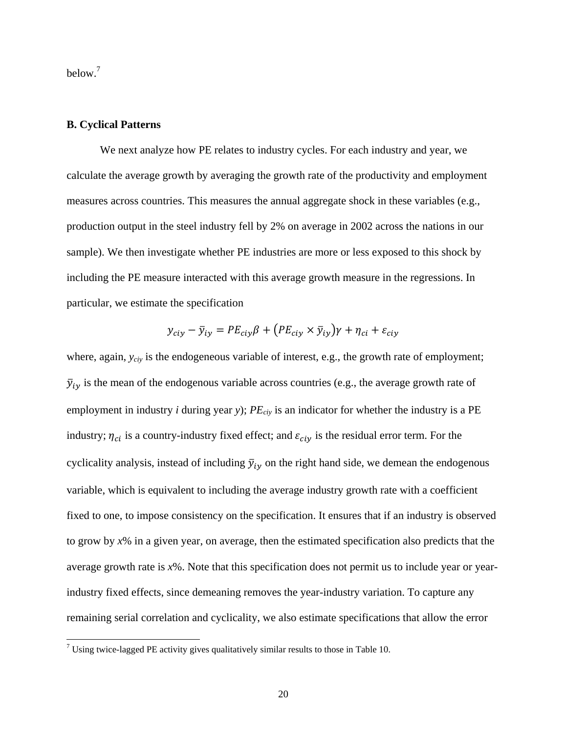below.<sup>7</sup>

## **B. Cyclical Patterns**

We next analyze how PE relates to industry cycles. For each industry and year, we calculate the average growth by averaging the growth rate of the productivity and employment measures across countries. This measures the annual aggregate shock in these variables (e.g., production output in the steel industry fell by 2% on average in 2002 across the nations in our sample). We then investigate whether PE industries are more or less exposed to this shock by including the PE measure interacted with this average growth measure in the regressions. In particular, we estimate the specification

$$
y_{\text{ciy}} - \bar{y}_{\text{iy}} = PE_{\text{ciy}}\beta + (PE_{\text{ciy}} \times \bar{y}_{\text{iy}})\gamma + \eta_{\text{ci}} + \varepsilon_{\text{ciy}}
$$

where, again,  $y_{\text{civ}}$  is the endogeneous variable of interest, e.g., the growth rate of employment;  $\bar{y}_{iy}$  is the mean of the endogenous variable across countries (e.g., the average growth rate of employment in industry *i* during year *y*);  $PE_{ciy}$  is an indicator for whether the industry is a PE industry;  $\eta_{ci}$  is a country-industry fixed effect; and  $\varepsilon_{ciy}$  is the residual error term. For the cyclicality analysis, instead of including  $\bar{y}_{iv}$  on the right hand side, we demean the endogenous variable, which is equivalent to including the average industry growth rate with a coefficient fixed to one, to impose consistency on the specification. It ensures that if an industry is observed to grow by *x*% in a given year, on average, then the estimated specification also predicts that the average growth rate is *x*%. Note that this specification does not permit us to include year or yearindustry fixed effects, since demeaning removes the year-industry variation. To capture any remaining serial correlation and cyclicality, we also estimate specifications that allow the error

<sup>&</sup>lt;sup>7</sup> Using twice-lagged PE activity gives qualitatively similar results to those in Table 10.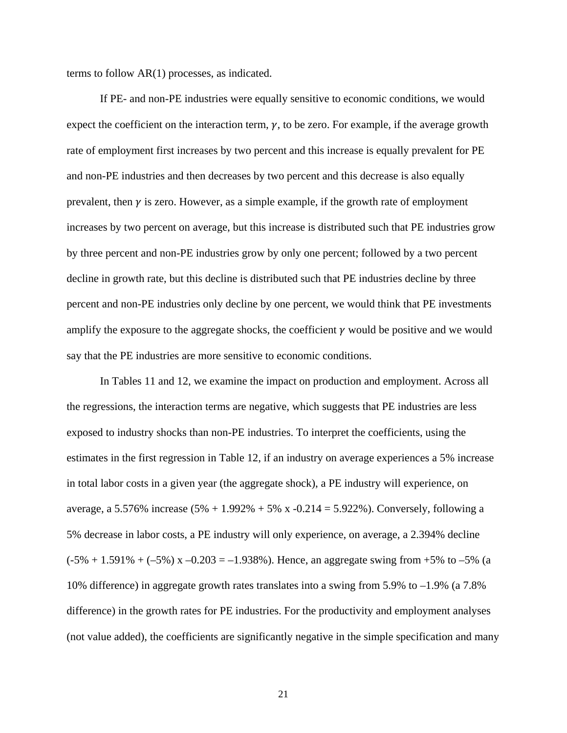terms to follow AR(1) processes, as indicated.

If PE- and non-PE industries were equally sensitive to economic conditions, we would expect the coefficient on the interaction term,  $\gamma$ , to be zero. For example, if the average growth rate of employment first increases by two percent and this increase is equally prevalent for PE and non-PE industries and then decreases by two percent and this decrease is also equally prevalent, then  $\gamma$  is zero. However, as a simple example, if the growth rate of employment increases by two percent on average, but this increase is distributed such that PE industries grow by three percent and non-PE industries grow by only one percent; followed by a two percent decline in growth rate, but this decline is distributed such that PE industries decline by three percent and non-PE industries only decline by one percent, we would think that PE investments amplify the exposure to the aggregate shocks, the coefficient  $\gamma$  would be positive and we would say that the PE industries are more sensitive to economic conditions.

In Tables 11 and 12, we examine the impact on production and employment. Across all the regressions, the interaction terms are negative, which suggests that PE industries are less exposed to industry shocks than non-PE industries. To interpret the coefficients, using the estimates in the first regression in Table 12, if an industry on average experiences a 5% increase in total labor costs in a given year (the aggregate shock), a PE industry will experience, on average, a 5.576% increase  $(5% + 1.992% + 5% x - 0.214 = 5.922%)$ . Conversely, following a 5% decrease in labor costs, a PE industry will only experience, on average, a 2.394% decline  $(-5\% + 1.591\% + (-5\%)$  x  $-0.203 = -1.938\%$ ). Hence, an aggregate swing from +5% to -5% (a 10% difference) in aggregate growth rates translates into a swing from 5.9% to –1.9% (a 7.8% difference) in the growth rates for PE industries. For the productivity and employment analyses (not value added), the coefficients are significantly negative in the simple specification and many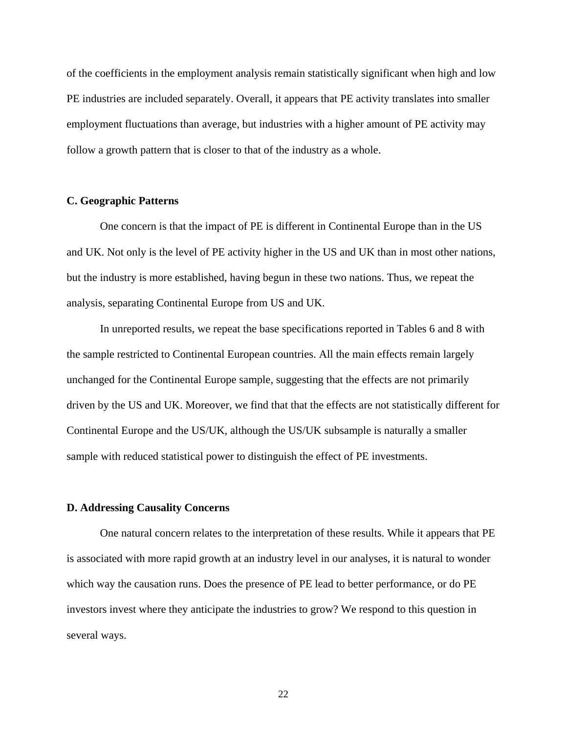of the coefficients in the employment analysis remain statistically significant when high and low PE industries are included separately. Overall, it appears that PE activity translates into smaller employment fluctuations than average, but industries with a higher amount of PE activity may follow a growth pattern that is closer to that of the industry as a whole.

# **C. Geographic Patterns**

One concern is that the impact of PE is different in Continental Europe than in the US and UK. Not only is the level of PE activity higher in the US and UK than in most other nations, but the industry is more established, having begun in these two nations. Thus, we repeat the analysis, separating Continental Europe from US and UK.

In unreported results, we repeat the base specifications reported in Tables 6 and 8 with the sample restricted to Continental European countries. All the main effects remain largely unchanged for the Continental Europe sample, suggesting that the effects are not primarily driven by the US and UK. Moreover, we find that that the effects are not statistically different for Continental Europe and the US/UK, although the US/UK subsample is naturally a smaller sample with reduced statistical power to distinguish the effect of PE investments.

# **D. Addressing Causality Concerns**

One natural concern relates to the interpretation of these results. While it appears that PE is associated with more rapid growth at an industry level in our analyses, it is natural to wonder which way the causation runs. Does the presence of PE lead to better performance, or do PE investors invest where they anticipate the industries to grow? We respond to this question in several ways.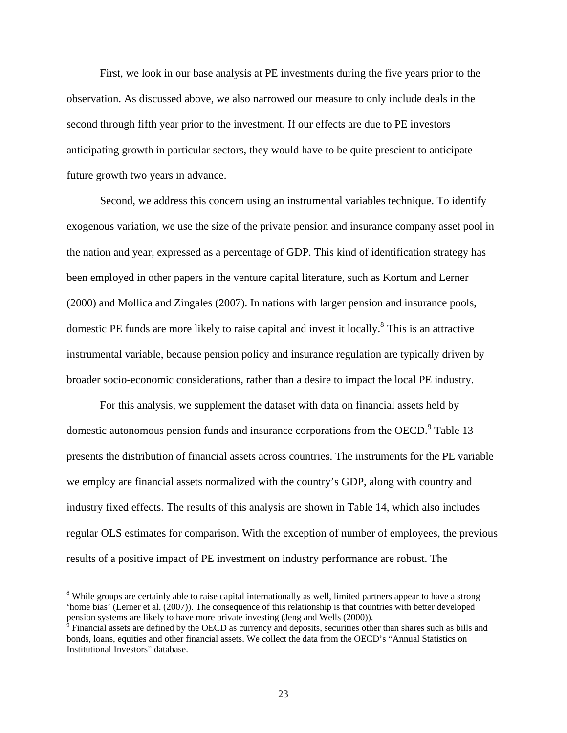First, we look in our base analysis at PE investments during the five years prior to the observation. As discussed above, we also narrowed our measure to only include deals in the second through fifth year prior to the investment. If our effects are due to PE investors anticipating growth in particular sectors, they would have to be quite prescient to anticipate future growth two years in advance.

Second, we address this concern using an instrumental variables technique. To identify exogenous variation, we use the size of the private pension and insurance company asset pool in the nation and year, expressed as a percentage of GDP. This kind of identification strategy has been employed in other papers in the venture capital literature, such as Kortum and Lerner (2000) and Mollica and Zingales (2007). In nations with larger pension and insurance pools, domestic PE funds are more likely to raise capital and invest it locally.<sup>8</sup> This is an attractive instrumental variable, because pension policy and insurance regulation are typically driven by broader socio-economic considerations, rather than a desire to impact the local PE industry.

For this analysis, we supplement the dataset with data on financial assets held by domestic autonomous pension funds and insurance corporations from the OECD.<sup>9</sup> Table 13 presents the distribution of financial assets across countries. The instruments for the PE variable we employ are financial assets normalized with the country's GDP, along with country and industry fixed effects. The results of this analysis are shown in Table 14, which also includes regular OLS estimates for comparison. With the exception of number of employees, the previous results of a positive impact of PE investment on industry performance are robust. The

<sup>&</sup>lt;sup>8</sup><br>While groups are certainly able to raise capital internationally as well, limited partners appear to have a strong 'home bias' (Lerner et al. (2007)). The consequence of this relationship is that countries with better developed pension systems are likely to have more private investing (Jeng and Wells (2000)).<br><sup>9</sup> Financial assets are defined by the OECD as currency and deposits, securities other than shares such as bills and

bonds, loans, equities and other financial assets. We collect the data from the OECD's "Annual Statistics on Institutional Investors" database.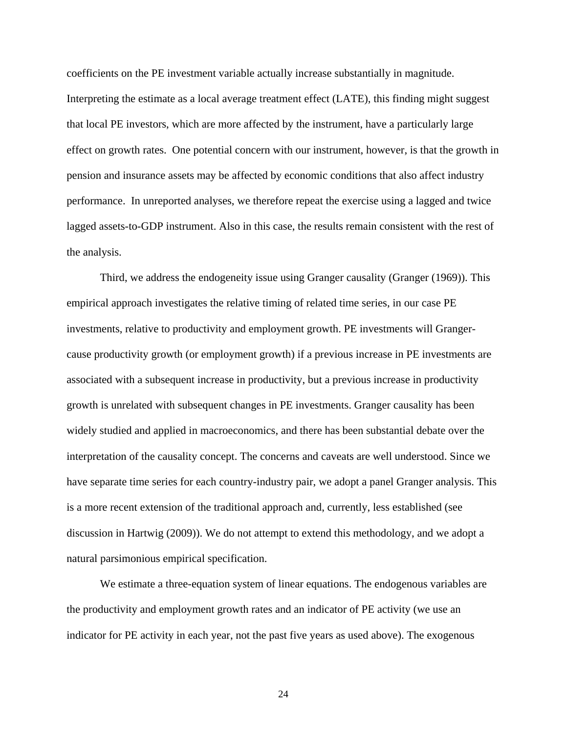coefficients on the PE investment variable actually increase substantially in magnitude. Interpreting the estimate as a local average treatment effect (LATE), this finding might suggest that local PE investors, which are more affected by the instrument, have a particularly large effect on growth rates. One potential concern with our instrument, however, is that the growth in pension and insurance assets may be affected by economic conditions that also affect industry performance. In unreported analyses, we therefore repeat the exercise using a lagged and twice lagged assets-to-GDP instrument. Also in this case, the results remain consistent with the rest of the analysis.

Third, we address the endogeneity issue using Granger causality (Granger (1969)). This empirical approach investigates the relative timing of related time series, in our case PE investments, relative to productivity and employment growth. PE investments will Grangercause productivity growth (or employment growth) if a previous increase in PE investments are associated with a subsequent increase in productivity, but a previous increase in productivity growth is unrelated with subsequent changes in PE investments. Granger causality has been widely studied and applied in macroeconomics, and there has been substantial debate over the interpretation of the causality concept. The concerns and caveats are well understood. Since we have separate time series for each country-industry pair, we adopt a panel Granger analysis. This is a more recent extension of the traditional approach and, currently, less established (see discussion in Hartwig (2009)). We do not attempt to extend this methodology, and we adopt a natural parsimonious empirical specification.

We estimate a three-equation system of linear equations. The endogenous variables are the productivity and employment growth rates and an indicator of PE activity (we use an indicator for PE activity in each year, not the past five years as used above). The exogenous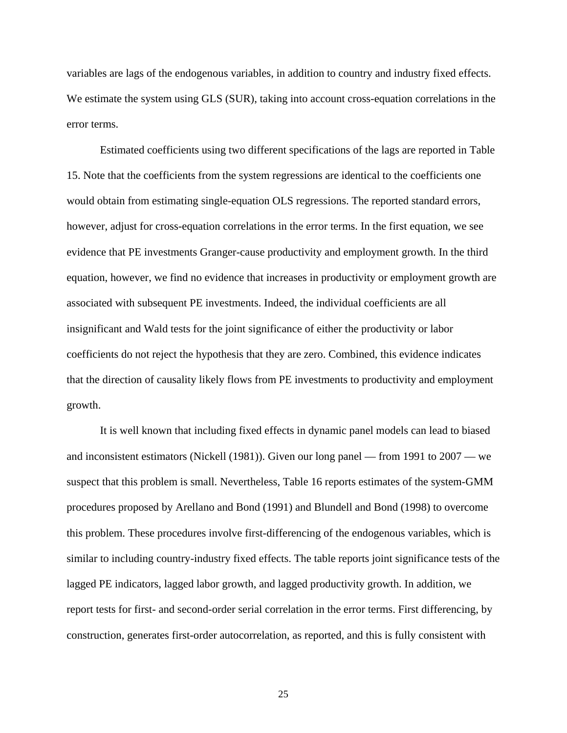variables are lags of the endogenous variables, in addition to country and industry fixed effects. We estimate the system using GLS (SUR), taking into account cross-equation correlations in the error terms.

Estimated coefficients using two different specifications of the lags are reported in Table 15. Note that the coefficients from the system regressions are identical to the coefficients one would obtain from estimating single-equation OLS regressions. The reported standard errors, however, adjust for cross-equation correlations in the error terms. In the first equation, we see evidence that PE investments Granger-cause productivity and employment growth. In the third equation, however, we find no evidence that increases in productivity or employment growth are associated with subsequent PE investments. Indeed, the individual coefficients are all insignificant and Wald tests for the joint significance of either the productivity or labor coefficients do not reject the hypothesis that they are zero. Combined, this evidence indicates that the direction of causality likely flows from PE investments to productivity and employment growth.

It is well known that including fixed effects in dynamic panel models can lead to biased and inconsistent estimators (Nickell (1981)). Given our long panel — from 1991 to 2007 — we suspect that this problem is small. Nevertheless, Table 16 reports estimates of the system-GMM procedures proposed by Arellano and Bond (1991) and Blundell and Bond (1998) to overcome this problem. These procedures involve first-differencing of the endogenous variables, which is similar to including country-industry fixed effects. The table reports joint significance tests of the lagged PE indicators, lagged labor growth, and lagged productivity growth. In addition, we report tests for first- and second-order serial correlation in the error terms. First differencing, by construction, generates first-order autocorrelation, as reported, and this is fully consistent with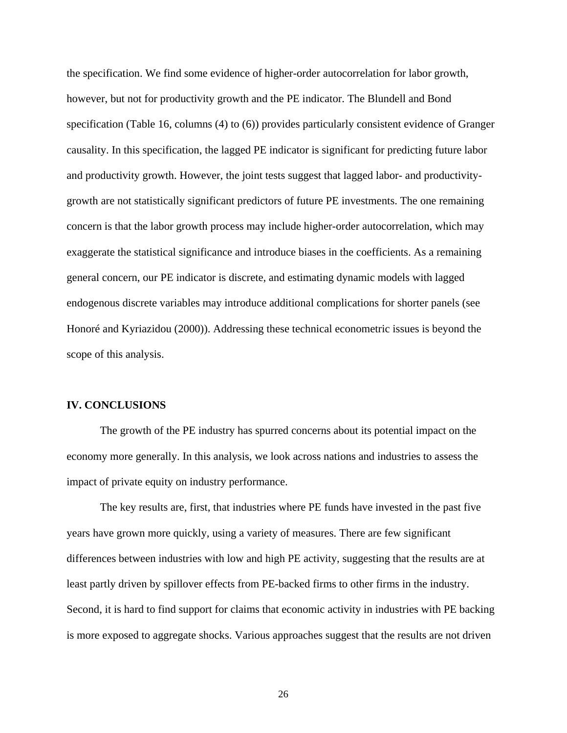the specification. We find some evidence of higher-order autocorrelation for labor growth, however, but not for productivity growth and the PE indicator. The Blundell and Bond specification (Table 16, columns (4) to (6)) provides particularly consistent evidence of Granger causality. In this specification, the lagged PE indicator is significant for predicting future labor and productivity growth. However, the joint tests suggest that lagged labor- and productivitygrowth are not statistically significant predictors of future PE investments. The one remaining concern is that the labor growth process may include higher-order autocorrelation, which may exaggerate the statistical significance and introduce biases in the coefficients. As a remaining general concern, our PE indicator is discrete, and estimating dynamic models with lagged endogenous discrete variables may introduce additional complications for shorter panels (see Honoré and Kyriazidou (2000)). Addressing these technical econometric issues is beyond the scope of this analysis.

#### **IV. CONCLUSIONS**

The growth of the PE industry has spurred concerns about its potential impact on the economy more generally. In this analysis, we look across nations and industries to assess the impact of private equity on industry performance.

The key results are, first, that industries where PE funds have invested in the past five years have grown more quickly, using a variety of measures. There are few significant differences between industries with low and high PE activity, suggesting that the results are at least partly driven by spillover effects from PE-backed firms to other firms in the industry. Second, it is hard to find support for claims that economic activity in industries with PE backing is more exposed to aggregate shocks. Various approaches suggest that the results are not driven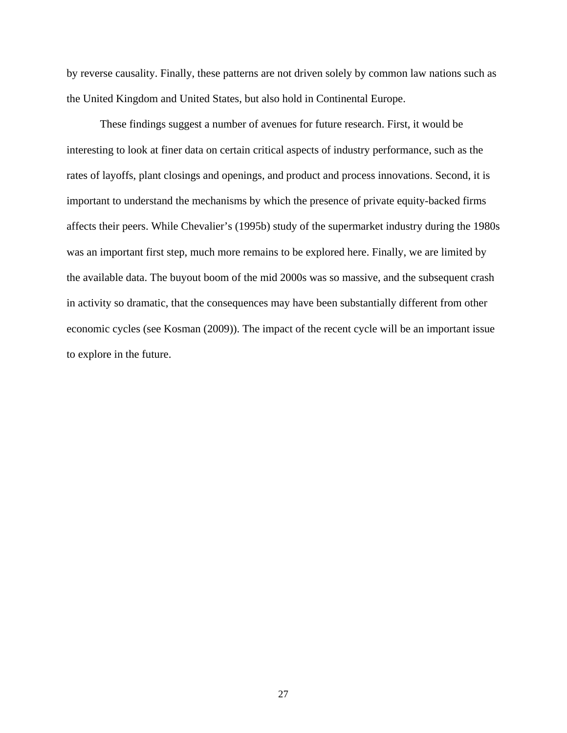by reverse causality. Finally, these patterns are not driven solely by common law nations such as the United Kingdom and United States, but also hold in Continental Europe.

These findings suggest a number of avenues for future research. First, it would be interesting to look at finer data on certain critical aspects of industry performance, such as the rates of layoffs, plant closings and openings, and product and process innovations. Second, it is important to understand the mechanisms by which the presence of private equity-backed firms affects their peers. While Chevalier's (1995b) study of the supermarket industry during the 1980s was an important first step, much more remains to be explored here. Finally, we are limited by the available data. The buyout boom of the mid 2000s was so massive, and the subsequent crash in activity so dramatic, that the consequences may have been substantially different from other economic cycles (see Kosman (2009)). The impact of the recent cycle will be an important issue to explore in the future.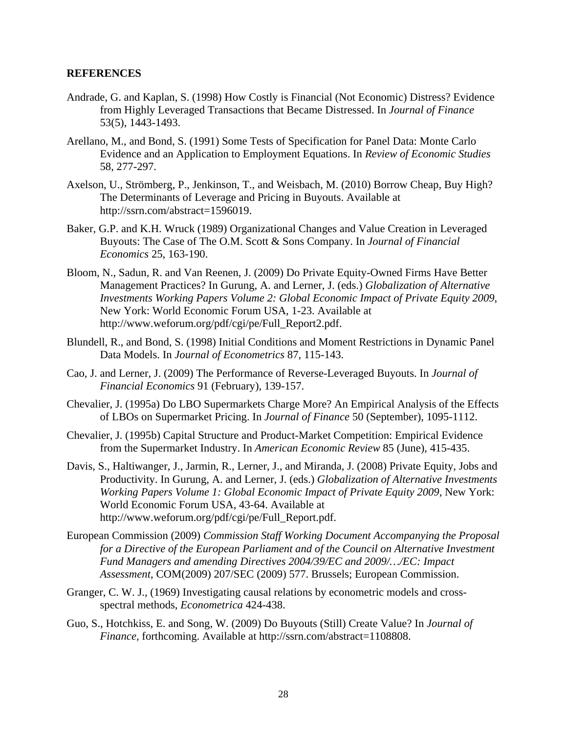## **REFERENCES**

- Andrade, G. and Kaplan, S. (1998) How Costly is Financial (Not Economic) Distress? Evidence from Highly Leveraged Transactions that Became Distressed. In *Journal of Finance* 53(5), 1443-1493.
- Arellano, M., and Bond, S. (1991) Some Tests of Specification for Panel Data: Monte Carlo Evidence and an Application to Employment Equations. In *Review of Economic Studies*  58, 277-297.
- Axelson, U., Strömberg, P., Jenkinson, T., and Weisbach, M. (2010) Borrow Cheap, Buy High? The Determinants of Leverage and Pricing in Buyouts. Available at http://ssrn.com/abstract=1596019.
- Baker, G.P. and K.H. Wruck (1989) Organizational Changes and Value Creation in Leveraged Buyouts: The Case of The O.M. Scott & Sons Company. In *Journal of Financial Economics* 25, 163-190.
- Bloom, N., Sadun, R. and Van Reenen, J. (2009) Do Private Equity-Owned Firms Have Better Management Practices? In Gurung, A. and Lerner, J. (eds.) *Globalization of Alternative Investments Working Papers Volume 2: Global Economic Impact of Private Equity 2009*, New York: World Economic Forum USA, 1-23. Available at http://www.weforum.org/pdf/cgi/pe/Full\_Report2.pdf.
- Blundell, R., and Bond, S. (1998) Initial Conditions and Moment Restrictions in Dynamic Panel Data Models. In *Journal of Econometrics* 87, 115-143.
- Cao, J. and Lerner, J. (2009) The Performance of Reverse-Leveraged Buyouts. In *Journal of Financial Economics* 91 (February), 139-157.
- Chevalier, J. (1995a) Do LBO Supermarkets Charge More? An Empirical Analysis of the Effects of LBOs on Supermarket Pricing. In *Journal of Finance* 50 (September), 1095-1112.
- Chevalier, J. (1995b) Capital Structure and Product-Market Competition: Empirical Evidence from the Supermarket Industry. In *American Economic Review* 85 (June), 415-435.
- Davis, S., Haltiwanger, J., Jarmin, R., Lerner, J., and Miranda, J. (2008) Private Equity, Jobs and Productivity. In Gurung, A. and Lerner, J. (eds.) *Globalization of Alternative Investments Working Papers Volume 1: Global Economic Impact of Private Equity 2009, New York:* World Economic Forum USA, 43-64. Available at http://www.weforum.org/pdf/cgi/pe/Full\_Report.pdf.
- European Commission (2009) *Commission Staff Working Document Accompanying the Proposal for a Directive of the European Parliament and of the Council on Alternative Investment Fund Managers and amending Directives 2004/39/EC and 2009/…/EC: Impact Assessment*, COM(2009) 207/SEC (2009) 577. Brussels; European Commission.
- Granger, C. W. J., (1969) Investigating causal relations by econometric models and crossspectral methods, *Econometrica* 424-438.
- Guo, S., Hotchkiss, E. and Song, W. (2009) Do Buyouts (Still) Create Value? In *Journal of Finance*, forthcoming. Available at http://ssrn.com/abstract=1108808.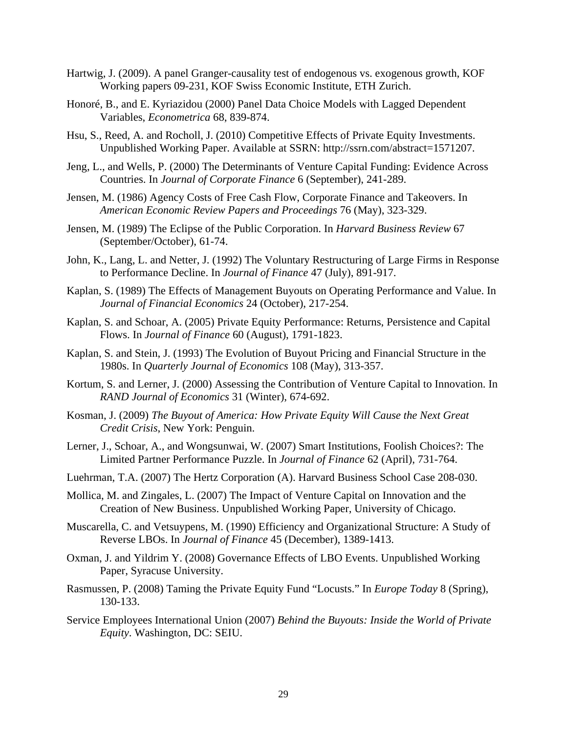- Hartwig, J. (2009). A panel Granger-causality test of endogenous vs. exogenous growth, KOF Working papers 09-231, KOF Swiss Economic Institute, ETH Zurich.
- Honoré, B., and E. Kyriazidou (2000) Panel Data Choice Models with Lagged Dependent Variables, *Econometrica* 68, 839-874.
- Hsu, S., Reed, A. and Rocholl, J. (2010) Competitive Effects of Private Equity Investments. Unpublished Working Paper. Available at SSRN: http://ssrn.com/abstract=1571207.
- Jeng, L., and Wells, P. (2000) The Determinants of Venture Capital Funding: Evidence Across Countries. In *Journal of Corporate Finance* 6 (September), 241-289.
- Jensen, M. (1986) Agency Costs of Free Cash Flow, Corporate Finance and Takeovers. In *American Economic Review Papers and Proceedings* 76 (May), 323-329.
- Jensen, M. (1989) The Eclipse of the Public Corporation. In *Harvard Business Review* 67 (September/October), 61-74.
- John, K., Lang, L. and Netter, J. (1992) The Voluntary Restructuring of Large Firms in Response to Performance Decline. In *Journal of Finance* 47 (July), 891-917.
- Kaplan, S. (1989) The Effects of Management Buyouts on Operating Performance and Value. In *Journal of Financial Economics* 24 (October), 217-254.
- Kaplan, S. and Schoar, A. (2005) Private Equity Performance: Returns, Persistence and Capital Flows. In *Journal of Finance* 60 (August), 1791-1823.
- Kaplan, S. and Stein, J. (1993) The Evolution of Buyout Pricing and Financial Structure in the 1980s. In *Quarterly Journal of Economics* 108 (May), 313-357.
- Kortum, S. and Lerner, J. (2000) Assessing the Contribution of Venture Capital to Innovation. In *RAND Journal of Economics* 31 (Winter), 674-692.
- Kosman, J. (2009) *The Buyout of America: How Private Equity Will Cause the Next Great Credit Crisis*, New York: Penguin.
- Lerner, J., Schoar, A., and Wongsunwai, W. (2007) Smart Institutions, Foolish Choices?: The Limited Partner Performance Puzzle. In *Journal of Finance* 62 (April), 731-764.
- Luehrman, T.A. (2007) The Hertz Corporation (A). Harvard Business School Case 208-030.
- Mollica, M. and Zingales, L. (2007) The Impact of Venture Capital on Innovation and the Creation of New Business. Unpublished Working Paper, University of Chicago.
- Muscarella, C. and Vetsuypens, M. (1990) Efficiency and Organizational Structure: A Study of Reverse LBOs. In *Journal of Finance* 45 (December), 1389-1413.
- Oxman, J. and Yildrim Y. (2008) Governance Effects of LBO Events. Unpublished Working Paper, Syracuse University.
- Rasmussen, P. (2008) Taming the Private Equity Fund "Locusts." In *Europe Today* 8 (Spring), 130-133.
- Service Employees International Union (2007) *Behind the Buyouts: Inside the World of Private Equity*. Washington, DC: SEIU.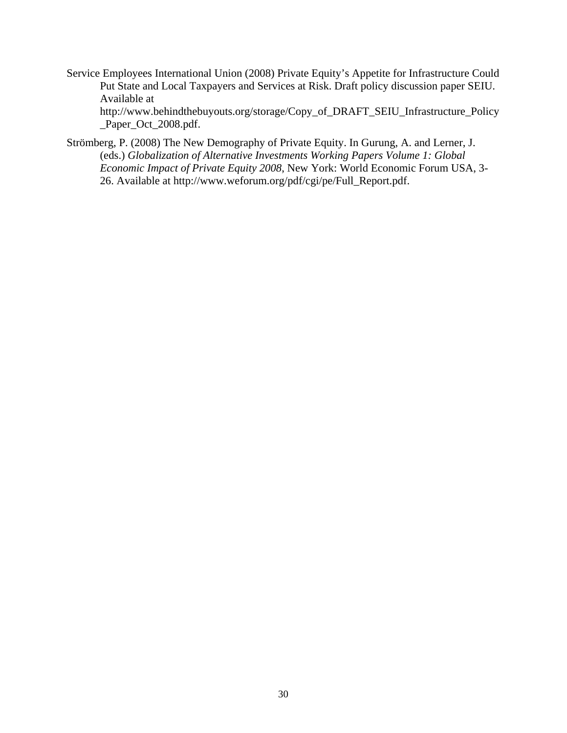- Service Employees International Union (2008) Private Equity's Appetite for Infrastructure Could Put State and Local Taxpayers and Services at Risk. Draft policy discussion paper SEIU. Available at http://www.behindthebuyouts.org/storage/Copy\_of\_DRAFT\_SEIU\_Infrastructure\_Policy \_Paper\_Oct\_2008.pdf.
- Strömberg, P. (2008) The New Demography of Private Equity. In Gurung, A. and Lerner, J. (eds.) *Globalization of Alternative Investments Working Papers Volume 1: Global Economic Impact of Private Equity 2008*, New York: World Economic Forum USA, 3- 26. Available at http://www.weforum.org/pdf/cgi/pe/Full\_Report.pdf.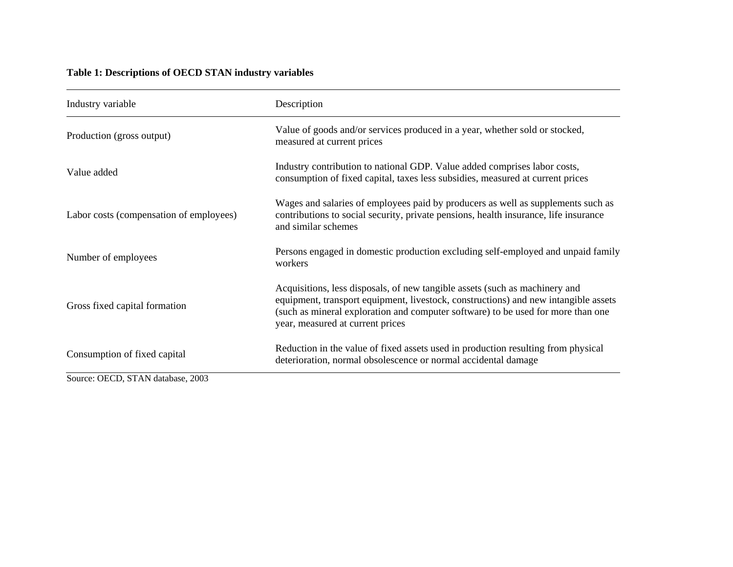# **Table 1: Descriptions of OECD STAN industry variables**

| Industry variable                       | Description                                                                                                                                                                                                                                                                                |
|-----------------------------------------|--------------------------------------------------------------------------------------------------------------------------------------------------------------------------------------------------------------------------------------------------------------------------------------------|
| Production (gross output)               | Value of goods and/or services produced in a year, whether sold or stocked,<br>measured at current prices                                                                                                                                                                                  |
| Value added                             | Industry contribution to national GDP. Value added comprises labor costs,<br>consumption of fixed capital, taxes less subsidies, measured at current prices                                                                                                                                |
| Labor costs (compensation of employees) | Wages and salaries of employees paid by producers as well as supplements such as<br>contributions to social security, private pensions, health insurance, life insurance<br>and similar schemes                                                                                            |
| Number of employees                     | Persons engaged in domestic production excluding self-employed and unpaid family<br>workers                                                                                                                                                                                                |
| Gross fixed capital formation           | Acquisitions, less disposals, of new tangible assets (such as machinery and<br>equipment, transport equipment, livestock, constructions) and new intangible assets<br>(such as mineral exploration and computer software) to be used for more than one<br>year, measured at current prices |
| Consumption of fixed capital            | Reduction in the value of fixed assets used in production resulting from physical<br>deterioration, normal obsolescence or normal accidental damage                                                                                                                                        |
| Source: OECD, STAN database, 2003       |                                                                                                                                                                                                                                                                                            |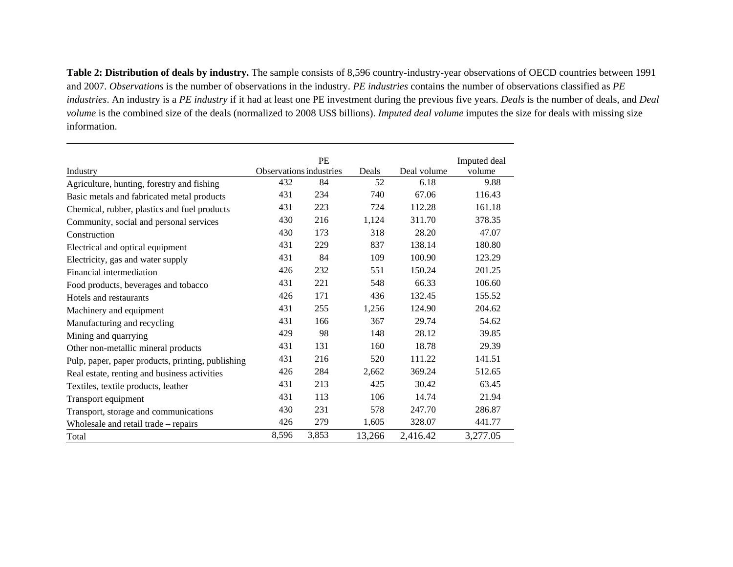**Table 2: Distribution of deals by industry.** The sample consists of 8,596 country-industry-year observations of OECD countries between 1991 and 2007. *Observations* is the number of observations in the industry. *PE industries* contains the number of observations classified as *PE industries*. An industry is a *PE industry* if it had at least one PE investment during the previous five years. *Deals* is the number of deals, and *Deal volume* is the combined size of the deals (normalized to 2008 US\$ billions). *Imputed deal volume* imputes the size for deals with missing size information.

|                                                   |                         | PE    |        |             | Imputed deal |
|---------------------------------------------------|-------------------------|-------|--------|-------------|--------------|
| Industry                                          | Observations industries |       | Deals  | Deal volume | volume       |
| Agriculture, hunting, forestry and fishing        | 432                     | 84    | 52     | 6.18        | 9.88         |
| Basic metals and fabricated metal products        | 431                     | 234   | 740    | 67.06       | 116.43       |
| Chemical, rubber, plastics and fuel products      | 431                     | 223   | 724    | 112.28      | 161.18       |
| Community, social and personal services           | 430                     | 216   | 1,124  | 311.70      | 378.35       |
| Construction                                      | 430                     | 173   | 318    | 28.20       | 47.07        |
| Electrical and optical equipment                  | 431                     | 229   | 837    | 138.14      | 180.80       |
| Electricity, gas and water supply                 | 431                     | 84    | 109    | 100.90      | 123.29       |
| Financial intermediation                          | 426                     | 232   | 551    | 150.24      | 201.25       |
| Food products, beverages and tobacco              | 431                     | 221   | 548    | 66.33       | 106.60       |
| Hotels and restaurants                            | 426                     | 171   | 436    | 132.45      | 155.52       |
| Machinery and equipment                           | 431                     | 255   | 1,256  | 124.90      | 204.62       |
| Manufacturing and recycling                       | 431                     | 166   | 367    | 29.74       | 54.62        |
| Mining and quarrying                              | 429                     | 98    | 148    | 28.12       | 39.85        |
| Other non-metallic mineral products               | 431                     | 131   | 160    | 18.78       | 29.39        |
| Pulp, paper, paper products, printing, publishing | 431                     | 216   | 520    | 111.22      | 141.51       |
| Real estate, renting and business activities      | 426                     | 284   | 2,662  | 369.24      | 512.65       |
| Textiles, textile products, leather               | 431                     | 213   | 425    | 30.42       | 63.45        |
| Transport equipment                               | 431                     | 113   | 106    | 14.74       | 21.94        |
| Transport, storage and communications             | 430                     | 231   | 578    | 247.70      | 286.87       |
| Wholesale and retail trade – repairs              | 426                     | 279   | 1,605  | 328.07      | 441.77       |
| Total                                             | 8,596                   | 3,853 | 13,266 | 2,416.42    | 3,277.05     |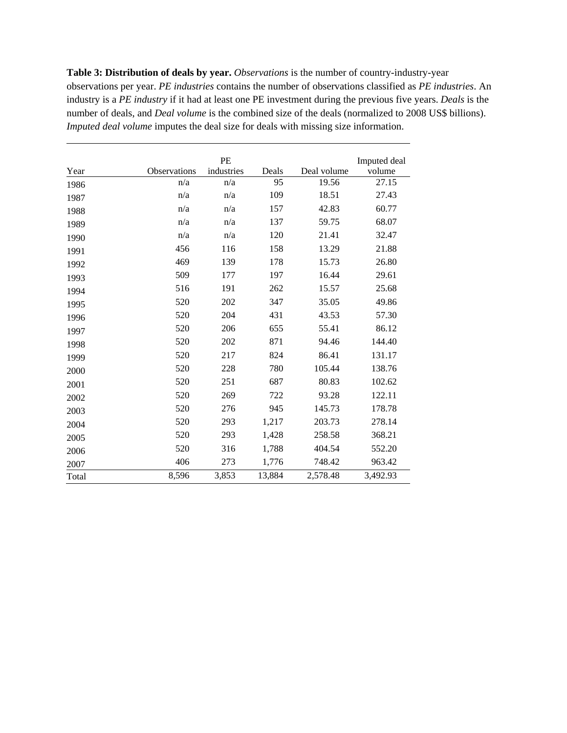**Table 3: Distribution of deals by year.** *Observations* is the number of country-industry-year observations per year. *PE industries* contains the number of observations classified as *PE industries*. An industry is a *PE industry* if it had at least one PE investment during the previous five years. *Deals* is the number of deals, and *Deal volume* is the combined size of the deals (normalized to 2008 US\$ billions). *Imputed deal volume* imputes the deal size for deals with missing size information.

|       |                     | PE         |        |             | Imputed deal |
|-------|---------------------|------------|--------|-------------|--------------|
| Year  | <b>Observations</b> | industries | Deals  | Deal volume | volume       |
| 1986  | n/a                 | n/a        | 95     | 19.56       | 27.15        |
| 1987  | n/a                 | n/a        | 109    | 18.51       | 27.43        |
| 1988  | n/a                 | n/a        | 157    | 42.83       | 60.77        |
| 1989  | n/a                 | n/a        | 137    | 59.75       | 68.07        |
| 1990  | n/a                 | n/a        | 120    | 21.41       | 32.47        |
| 1991  | 456                 | 116        | 158    | 13.29       | 21.88        |
| 1992  | 469                 | 139        | 178    | 15.73       | 26.80        |
| 1993  | 509                 | 177        | 197    | 16.44       | 29.61        |
| 1994  | 516                 | 191        | 262    | 15.57       | 25.68        |
| 1995  | 520                 | 202        | 347    | 35.05       | 49.86        |
| 1996  | 520                 | 204        | 431    | 43.53       | 57.30        |
| 1997  | 520                 | 206        | 655    | 55.41       | 86.12        |
| 1998  | 520                 | 202        | 871    | 94.46       | 144.40       |
| 1999  | 520                 | 217        | 824    | 86.41       | 131.17       |
| 2000  | 520                 | 228        | 780    | 105.44      | 138.76       |
| 2001  | 520                 | 251        | 687    | 80.83       | 102.62       |
| 2002  | 520                 | 269        | 722    | 93.28       | 122.11       |
| 2003  | 520                 | 276        | 945    | 145.73      | 178.78       |
| 2004  | 520                 | 293        | 1,217  | 203.73      | 278.14       |
| 2005  | 520                 | 293        | 1,428  | 258.58      | 368.21       |
| 2006  | 520                 | 316        | 1,788  | 404.54      | 552.20       |
| 2007  | 406                 | 273        | 1,776  | 748.42      | 963.42       |
| Total | 8,596               | 3,853      | 13,884 | 2,578.48    | 3,492.93     |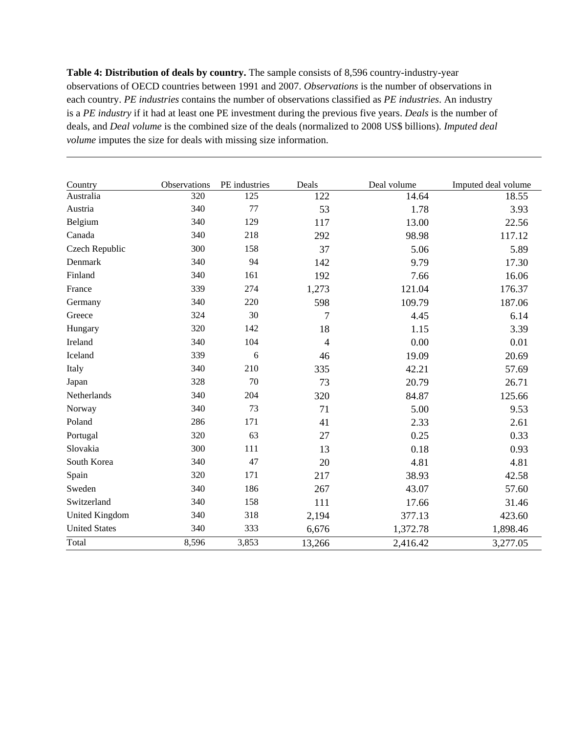**Table 4: Distribution of deals by country.** The sample consists of 8,596 country-industry-year observations of OECD countries between 1991 and 2007. *Observations* is the number of observations in each country. *PE industries* contains the number of observations classified as *PE industries*. An industry is a *PE industry* if it had at least one PE investment during the previous five years. *Deals* is the number of deals, and *Deal volume* is the combined size of the deals (normalized to 2008 US\$ billions). *Imputed deal volume* imputes the size for deals with missing size information.

| Country               | Observations | PE industries | Deals          | Deal volume | Imputed deal volume |
|-----------------------|--------------|---------------|----------------|-------------|---------------------|
| Australia             | 320          | 125           | 122            | 14.64       | 18.55               |
| Austria               | 340          | 77            | 53             | 1.78        | 3.93                |
| Belgium               | 340          | 129           | 117            | 13.00       | 22.56               |
| Canada                | 340          | 218           | 292            | 98.98       | 117.12              |
| Czech Republic        | 300          | 158           | 37             | 5.06        | 5.89                |
| Denmark               | 340          | 94            | 142            | 9.79        | 17.30               |
| Finland               | 340          | 161           | 192            | 7.66        | 16.06               |
| France                | 339          | 274           | 1,273          | 121.04      | 176.37              |
| Germany               | 340          | 220           | 598            | 109.79      | 187.06              |
| Greece                | 324          | 30            | 7              | 4.45        | 6.14                |
| Hungary               | 320          | 142           | 18             | 1.15        | 3.39                |
| Ireland               | 340          | 104           | $\overline{4}$ | 0.00        | 0.01                |
| Iceland               | 339          | 6             | 46             | 19.09       | 20.69               |
| Italy                 | 340          | 210           | 335            | 42.21       | 57.69               |
| Japan                 | 328          | 70            | 73             | 20.79       | 26.71               |
| Netherlands           | 340          | 204           | 320            | 84.87       | 125.66              |
| Norway                | 340          | 73            | 71             | 5.00        | 9.53                |
| Poland                | 286          | 171           | 41             | 2.33        | 2.61                |
| Portugal              | 320          | 63            | 27             | 0.25        | 0.33                |
| Slovakia              | 300          | 111           | 13             | 0.18        | 0.93                |
| South Korea           | 340          | 47            | 20             | 4.81        | 4.81                |
| Spain                 | 320          | 171           | 217            | 38.93       | 42.58               |
| Sweden                | 340          | 186           | 267            | 43.07       | 57.60               |
| Switzerland           | 340          | 158           | 111            | 17.66       | 31.46               |
| <b>United Kingdom</b> | 340          | 318           | 2,194          | 377.13      | 423.60              |
| <b>United States</b>  | 340          | 333           | 6,676          | 1,372.78    | 1,898.46            |
| Total                 | 8,596        | 3,853         | 13,266         | 2,416.42    | 3,277.05            |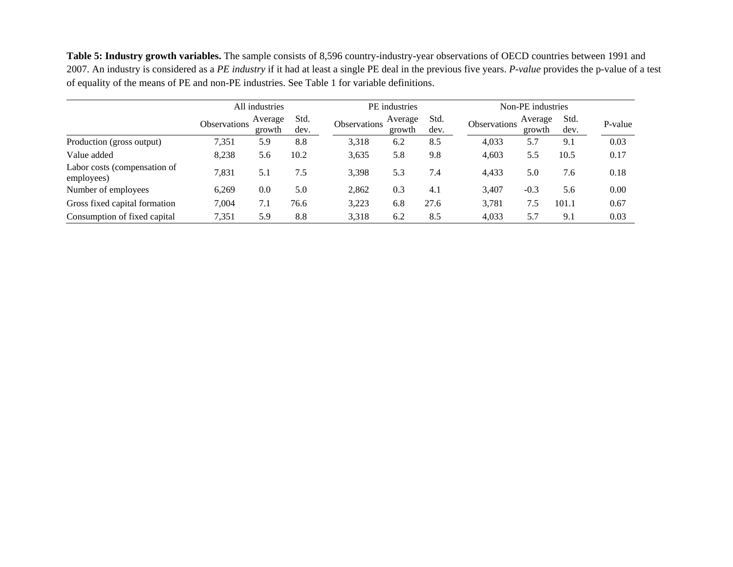**Table 5: Industry growth variables.** The sample consists of 8,596 country-industry-year observations of OECD countries between 1991 and 2007. An industry is considered as a *PE industry* if it had at least a single PE deal in the previous five years. *P-value* provides the p-value of a test of equality of the means of PE and non-PE industries. See Table 1 for variable definitions.

|                                            |              | All industries    |              |              | PE industries     |              |              | Non-PE industries |              |         |
|--------------------------------------------|--------------|-------------------|--------------|--------------|-------------------|--------------|--------------|-------------------|--------------|---------|
|                                            | Observations | Average<br>growth | Std.<br>dev. | Observations | Average<br>growth | Std.<br>dev. | Observations | Average<br>growth | Std.<br>dev. | P-value |
| Production (gross output)                  | 7,351        | 5.9               | 8.8          | 3,318        | 6.2               | 8.5          | 4,033        | 5.7               | 9.1          | 0.03    |
| Value added                                | 8,238        | 5.6               | 10.2         | 3,635        | 5.8               | 9.8          | 4,603        | 5.5               | 10.5         | 0.17    |
| Labor costs (compensation of<br>employees) | 7,831        | 5.1               | 7.5          | 3,398        | 5.3               | 7.4          | 4,433        | 5.0               | 7.6          | 0.18    |
| Number of employees                        | 6,269        | 0.0               | 5.0          | 2,862        | 0.3               | 4.1          | 3.407        | $-0.3$            | 5.6          | 0.00    |
| Gross fixed capital formation              | 7,004        | 7.1               | 76.6         | 3.223        | 6.8               | 27.6         | 3,781        | 7.5               | 101.1        | 0.67    |
| Consumption of fixed capital               | 7,351        | 5.9               | 8.8          | 3,318        | 6.2               | 8.5          | 4,033        | 5.7               | 9.1          | 0.03    |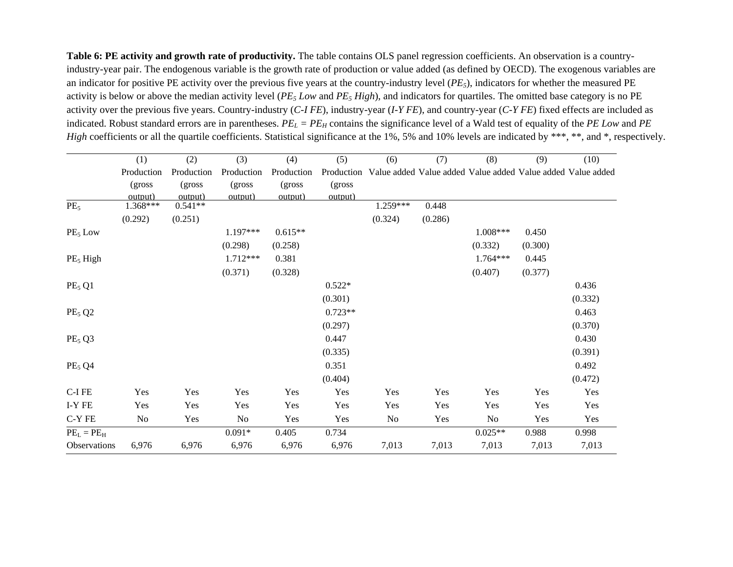Table 6: PE activity and growth rate of productivity. The table contains OLS panel regression coefficients. An observation is a countryindustry-year pair. The endogenous variable is the growth rate of production or value added (as defined by OECD). The exogenous variables are an indicator for positive PE activity over the previous five years at the country-industry level (*PE5*), indicators for whether the measured PE activity is below or above the median activity level (*PE5 Low* and *PE5 High*), and indicators for quartiles. The omitted base category is no PE activity over the previous five years. Country-industry (*C-I FE*), industry-year (*I-Y FE*), and country-year (*C-Y FE*) fixed effects are included as indicated. Robust standard errors are in parentheses.  $PE_L = PE_H$  contains the significance level of a Wald test of equality of the *PE Low* and *PE High* coefficients or all the quartile coefficients. Statistical significance at the 1%, 5% and 10% levels are indicated by \*\*\*, \*\*, and \*, respectively.

|                                | (1)        | (2)        | (3)            | (4)        | (5)        | (6)      | (7)     | (8)                                                         | (9)     | (10)    |
|--------------------------------|------------|------------|----------------|------------|------------|----------|---------|-------------------------------------------------------------|---------|---------|
|                                | Production | Production | Production     | Production | Production |          |         | Value added Value added Value added Value added Value added |         |         |
|                                | (gross)    | (gross)    | (gross)        | (gross)    | (gross     |          |         |                                                             |         |         |
|                                | output)    | output)    | output)        | output)    | output)    |          |         |                                                             |         |         |
| PE <sub>5</sub>                | 1.368***   | $0.541**$  |                |            |            | 1.259*** | 0.448   |                                                             |         |         |
|                                | (0.292)    | (0.251)    |                |            |            | (0.324)  | (0.286) |                                                             |         |         |
| PE <sub>5</sub> Low            |            |            | 1.197***       | $0.615**$  |            |          |         | 1.008***                                                    | 0.450   |         |
|                                |            |            | (0.298)        | (0.258)    |            |          |         | (0.332)                                                     | (0.300) |         |
| PE <sub>5</sub> High           |            |            | 1.712***       | 0.381      |            |          |         | $1.764***$                                                  | 0.445   |         |
|                                |            |            | (0.371)        | (0.328)    |            |          |         | (0.407)                                                     | (0.377) |         |
| PE <sub>5</sub> Q1             |            |            |                |            | $0.522*$   |          |         |                                                             |         | 0.436   |
|                                |            |            |                |            | (0.301)    |          |         |                                                             |         | (0.332) |
| PE <sub>5</sub> Q <sub>2</sub> |            |            |                |            | $0.723**$  |          |         |                                                             |         | 0.463   |
|                                |            |            |                |            | (0.297)    |          |         |                                                             |         | (0.370) |
| PE <sub>5</sub> Q3             |            |            |                |            | 0.447      |          |         |                                                             |         | 0.430   |
|                                |            |            |                |            | (0.335)    |          |         |                                                             |         | (0.391) |
| PE <sub>5</sub> Q4             |            |            |                |            | 0.351      |          |         |                                                             |         | 0.492   |
|                                |            |            |                |            | (0.404)    |          |         |                                                             |         | (0.472) |
| C-I FE                         | Yes        | Yes        | Yes            | Yes        | Yes        | Yes      | Yes     | Yes                                                         | Yes     | Yes     |
| I-Y FE                         | Yes        | Yes        | Yes            | Yes        | Yes        | Yes      | Yes     | Yes                                                         | Yes     | Yes     |
| C-Y FE                         | No         | Yes        | N <sub>0</sub> | Yes        | Yes        | No       | Yes     | No                                                          | Yes     | Yes     |
| $PEL = PEH$                    |            |            | $0.091*$       | 0.405      | 0.734      |          |         | $0.025**$                                                   | 0.988   | 0.998   |
| Observations                   | 6,976      | 6,976      | 6,976          | 6,976      | 6,976      | 7,013    | 7,013   | 7,013                                                       | 7,013   | 7,013   |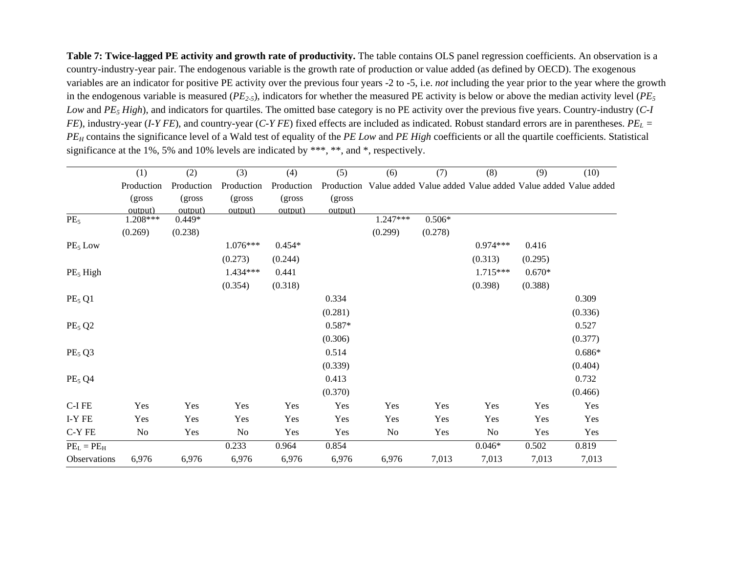Table 7: Twice-lagged PE activity and growth rate of productivity. The table contains OLS panel regression coefficients. An observation is a country-industry-year pair. The endogenous variable is the growth rate of production or value added (as defined by OECD). The exogenous variables are an indicator for positive PE activity over the previous four years -2 to -5, i.e. *not* including the year prior to the year where the growth in the endogenous variable is measured (*PE2-5*), indicators for whether the measured PE activity is below or above the median activity level (*PE5 Low* and *PE5 High*), and indicators for quartiles. The omitted base category is no PE activity over the previous five years. Country-industry (*C-I FE*), industry-year (*I-Y FE*), and country-year (*C-Y FE*) fixed effects are included as indicated. Robust standard errors are in parentheses.  $PE<sub>L</sub>$  = *PEH* contains the significance level of a Wald test of equality of the *PE Low* and *PE High* coefficients or all the quartile coefficients. Statistical significance at the 1%, 5% and 10% levels are indicated by \*\*\*, \*\*, and \*, respectively.

|                                | (1)        | (2)        | (3)        | (4)        | (5)        | (6)      | (7)      | (8)        | (9)      | (10)                                                        |
|--------------------------------|------------|------------|------------|------------|------------|----------|----------|------------|----------|-------------------------------------------------------------|
|                                | Production | Production | Production | Production | Production |          |          |            |          | Value added Value added Value added Value added Value added |
|                                | (gross)    | (gross)    | (gross)    | (gross)    | (gross)    |          |          |            |          |                                                             |
|                                | output)    | output)    | output)    | output)    | output)    |          |          |            |          |                                                             |
| PE <sub>5</sub>                | 1.208***   | $0.449*$   |            |            |            | 1.247*** | $0.506*$ |            |          |                                                             |
|                                | (0.269)    | (0.238)    |            |            |            | (0.299)  | (0.278)  |            |          |                                                             |
| $PE5$ Low                      |            |            | $1.076***$ | $0.454*$   |            |          |          | $0.974***$ | 0.416    |                                                             |
|                                |            |            | (0.273)    | (0.244)    |            |          |          | (0.313)    | (0.295)  |                                                             |
| PE <sub>5</sub> High           |            |            | 1.434***   | 0.441      |            |          |          | $1.715***$ | $0.670*$ |                                                             |
|                                |            |            | (0.354)    | (0.318)    |            |          |          | (0.398)    | (0.388)  |                                                             |
| PE <sub>5</sub> Q1             |            |            |            |            | 0.334      |          |          |            |          | 0.309                                                       |
|                                |            |            |            |            | (0.281)    |          |          |            |          | (0.336)                                                     |
| $PE5$ Q <sub>2</sub>           |            |            |            |            | $0.587*$   |          |          |            |          | 0.527                                                       |
|                                |            |            |            |            | (0.306)    |          |          |            |          | (0.377)                                                     |
| PE <sub>5</sub> Q3             |            |            |            |            | 0.514      |          |          |            |          | $0.686*$                                                    |
|                                |            |            |            |            | (0.339)    |          |          |            |          | (0.404)                                                     |
| PE <sub>5</sub> Q <sub>4</sub> |            |            |            |            | 0.413      |          |          |            |          | 0.732                                                       |
|                                |            |            |            |            | (0.370)    |          |          |            |          | (0.466)                                                     |
| $C-IFE$                        | Yes        | Yes        | Yes        | Yes        | Yes        | Yes      | Yes      | Yes        | Yes      | Yes                                                         |
| I-Y FE                         | Yes        | Yes        | Yes        | Yes        | Yes        | Yes      | Yes      | Yes        | Yes      | Yes                                                         |
| C-Y FE                         | No         | Yes        | No         | Yes        | Yes        | No       | Yes      | No         | Yes      | Yes                                                         |
| $PEL = PEH$                    |            |            | 0.233      | 0.964      | 0.854      |          |          | $0.046*$   | 0.502    | 0.819                                                       |
| Observations                   | 6,976      | 6,976      | 6,976      | 6,976      | 6,976      | 6,976    | 7,013    | 7,013      | 7,013    | 7,013                                                       |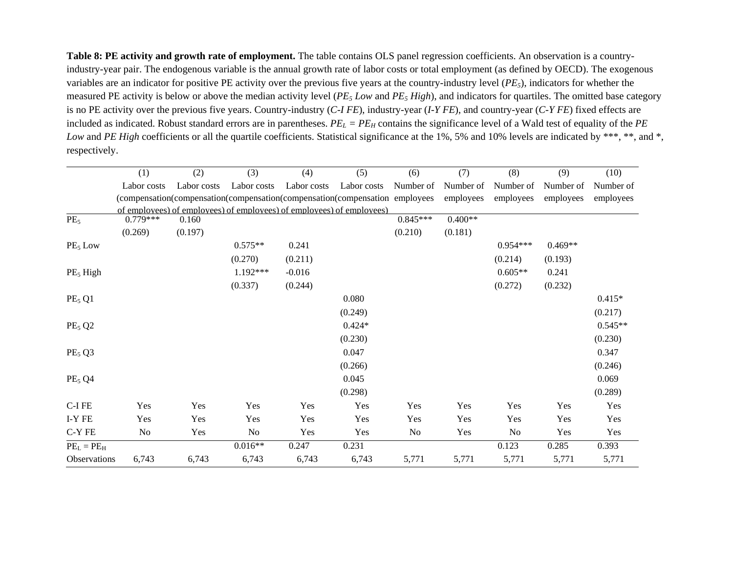**Table 8: PE activity and growth rate of employment.** The table contains OLS panel regression coefficients. An observation is a countryindustry-year pair. The endogenous variable is the annual growth rate of labor costs or total employment (as defined by OECD). The exogenous variables are an indicator for positive PE activity over the previous five years at the country-industry level (*PE5*), indicators for whether the measured PE activity is below or above the median activity level (*PE5 Low* and *PE5 High*), and indicators for quartiles. The omitted base category is no PE activity over the previous five years. Country-industry (*C-I FE*), industry-year (*I-Y FE*), and country-year (*C-Y FE*) fixed effects are included as indicated. Robust standard errors are in parentheses.  $PE_L = PE_H$  contains the significance level of a Wald test of equality of the  $PE$ *Low* and *PE High* coefficients or all the quartile coefficients. Statistical significance at the 1%, 5% and 10% levels are indicated by \*\*\*, \*\*, and \*, respectively.

|                      | (1)         | (2)         | (3)         | (4)         | (5)                                                                         | (6)        | (7)       | (8)        | (9)       | (10)      |
|----------------------|-------------|-------------|-------------|-------------|-----------------------------------------------------------------------------|------------|-----------|------------|-----------|-----------|
|                      | Labor costs | Labor costs | Labor costs | Labor costs | Labor costs                                                                 | Number of  | Number of | Number of  | Number of | Number of |
|                      |             |             |             |             | (compensation(compensation(compensation(compensation(compensation employees |            | employees | employees  | employees | employees |
|                      |             |             |             |             | of employees) of employees) of employees) of employees) of employees)       |            |           |            |           |           |
| PE <sub>5</sub>      | $0.779***$  | 0.160       |             |             |                                                                             | $0.845***$ | $0.400**$ |            |           |           |
|                      | (0.269)     | (0.197)     |             |             |                                                                             | (0.210)    | (0.181)   |            |           |           |
| $PE5$ Low            |             |             | $0.575**$   | 0.241       |                                                                             |            |           | $0.954***$ | $0.469**$ |           |
|                      |             |             | (0.270)     | (0.211)     |                                                                             |            |           | (0.214)    | (0.193)   |           |
| PE <sub>5</sub> High |             |             | 1.192***    | $-0.016$    |                                                                             |            |           | $0.605**$  | 0.241     |           |
|                      |             |             | (0.337)     | (0.244)     |                                                                             |            |           | (0.272)    | (0.232)   |           |
| PE <sub>5</sub> Q1   |             |             |             |             | 0.080                                                                       |            |           |            |           | $0.415*$  |
|                      |             |             |             |             | (0.249)                                                                     |            |           |            |           | (0.217)   |
| $PE5$ Q <sub>2</sub> |             |             |             |             | $0.424*$                                                                    |            |           |            |           | $0.545**$ |
|                      |             |             |             |             | (0.230)                                                                     |            |           |            |           | (0.230)   |
| PE <sub>5</sub> Q3   |             |             |             |             | 0.047                                                                       |            |           |            |           | 0.347     |
|                      |             |             |             |             | (0.266)                                                                     |            |           |            |           | (0.246)   |
| PE <sub>5</sub> Q4   |             |             |             |             | 0.045                                                                       |            |           |            |           | 0.069     |
|                      |             |             |             |             | (0.298)                                                                     |            |           |            |           | (0.289)   |
| C-I FE               | Yes         | Yes         | Yes         | Yes         | Yes                                                                         | Yes        | Yes       | Yes        | Yes       | Yes       |
| I-Y FE               | Yes         | Yes         | Yes         | Yes         | Yes                                                                         | Yes        | Yes       | Yes        | Yes       | Yes       |
| C-Y FE               | No          | Yes         | No          | Yes         | Yes                                                                         | No         | Yes       | No         | Yes       | Yes       |
| $PEL = PEH$          |             |             | $0.016**$   | 0.247       | 0.231                                                                       |            |           | 0.123      | 0.285     | 0.393     |
| Observations         | 6,743       | 6,743       | 6,743       | 6,743       | 6,743                                                                       | 5,771      | 5,771     | 5,771      | 5,771     | 5,771     |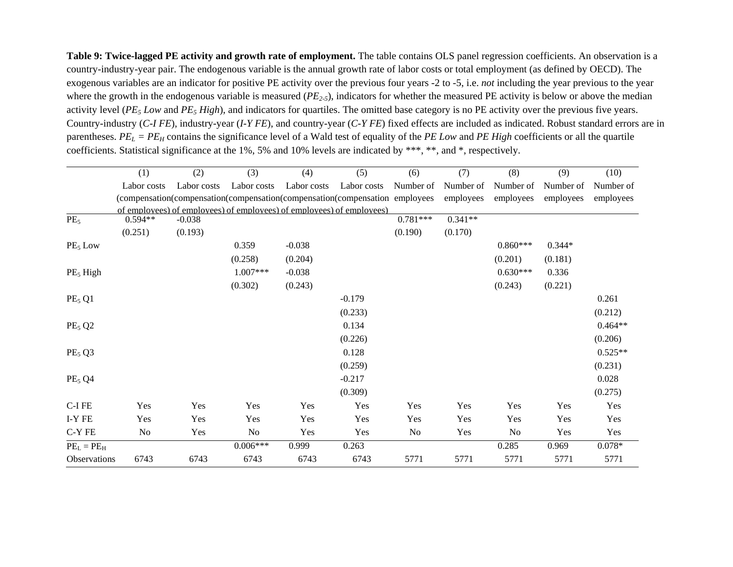**Table 9: Twice-lagged PE activity and growth rate of employment.** The table contains OLS panel regression coefficients. An observation is a country-industry-year pair. The endogenous variable is the annual growth rate of labor costs or total employment (as defined by OECD). The exogenous variables are an indicator for positive PE activity over the previous four years -2 to -5, i.e. *not* including the year previous to the year where the growth in the endogenous variable is measured (*PE<sub>2-5</sub>*), indicators for whether the measured PE activity is below or above the median activity level (*PE<sub>5</sub> Low* and *PE<sub>5</sub> High*), and indicators for quartiles. The omitted base category is no PE activity over the previous five years. Country-industry (*C-I FE*), industry-year (*I-Y FE*), and country-year (*C-Y FE*) fixed effects are included as indicated. Robust standard errors are in parentheses. *PEL = PEH* contains the significance level of a Wald test of equality of the *PE Low* and *PE High* coefficients or all the quartile coefficients. Statistical significance at the 1%, 5% and 10% levels are indicated by \*\*\*, \*\*, and \*, respectively.

|                                | (1)         | (2)         | (3)         | (4)         | (5)                                                                         | (6)        | (7)       | (8)        | (9)       | (10)      |
|--------------------------------|-------------|-------------|-------------|-------------|-----------------------------------------------------------------------------|------------|-----------|------------|-----------|-----------|
|                                | Labor costs | Labor costs | Labor costs | Labor costs | Labor costs                                                                 | Number of  | Number of | Number of  | Number of | Number of |
|                                |             |             |             |             | (compensation(compensation(compensation(compensation(compensation employees |            | employees | employees  | employees | employees |
|                                |             |             |             |             | of employees) of employees) of employees) of employees) of employees)       |            |           |            |           |           |
| PE <sub>5</sub>                | $0.594**$   | $-0.038$    |             |             |                                                                             | $0.781***$ | $0.341**$ |            |           |           |
|                                | (0.251)     | (0.193)     |             |             |                                                                             | (0.190)    | (0.170)   |            |           |           |
| $PE5$ Low                      |             |             | 0.359       | $-0.038$    |                                                                             |            |           | $0.860***$ | $0.344*$  |           |
|                                |             |             | (0.258)     | (0.204)     |                                                                             |            |           | (0.201)    | (0.181)   |           |
| PE <sub>5</sub> High           |             |             | $1.007***$  | $-0.038$    |                                                                             |            |           | $0.630***$ | 0.336     |           |
|                                |             |             | (0.302)     | (0.243)     |                                                                             |            |           | (0.243)    | (0.221)   |           |
| PE <sub>5</sub> Q1             |             |             |             |             | $-0.179$                                                                    |            |           |            |           | 0.261     |
|                                |             |             |             |             | (0.233)                                                                     |            |           |            |           | (0.212)   |
| PE <sub>5</sub> Q <sub>2</sub> |             |             |             |             | 0.134                                                                       |            |           |            |           | $0.464**$ |
|                                |             |             |             |             | (0.226)                                                                     |            |           |            |           | (0.206)   |
| PE <sub>5</sub> Q3             |             |             |             |             | 0.128                                                                       |            |           |            |           | $0.525**$ |
|                                |             |             |             |             | (0.259)                                                                     |            |           |            |           | (0.231)   |
| PE <sub>5</sub> Q <sub>4</sub> |             |             |             |             | $-0.217$                                                                    |            |           |            |           | 0.028     |
|                                |             |             |             |             | (0.309)                                                                     |            |           |            |           | (0.275)   |
| C-I FE                         | Yes         | Yes         | Yes         | Yes         | Yes                                                                         | Yes        | Yes       | Yes        | Yes       | Yes       |
| I-Y FE                         | Yes         | Yes         | Yes         | Yes         | Yes                                                                         | Yes        | Yes       | Yes        | Yes       | Yes       |
| C-Y FE                         | No          | Yes         | No          | Yes         | Yes                                                                         | No         | Yes       | No         | Yes       | Yes       |
| $PEL = PEH$                    |             |             | $0.006***$  | 0.999       | 0.263                                                                       |            |           | 0.285      | 0.969     | $0.078*$  |
| <b>Observations</b>            | 6743        | 6743        | 6743        | 6743        | 6743                                                                        | 5771       | 5771      | 5771       | 5771      | 5771      |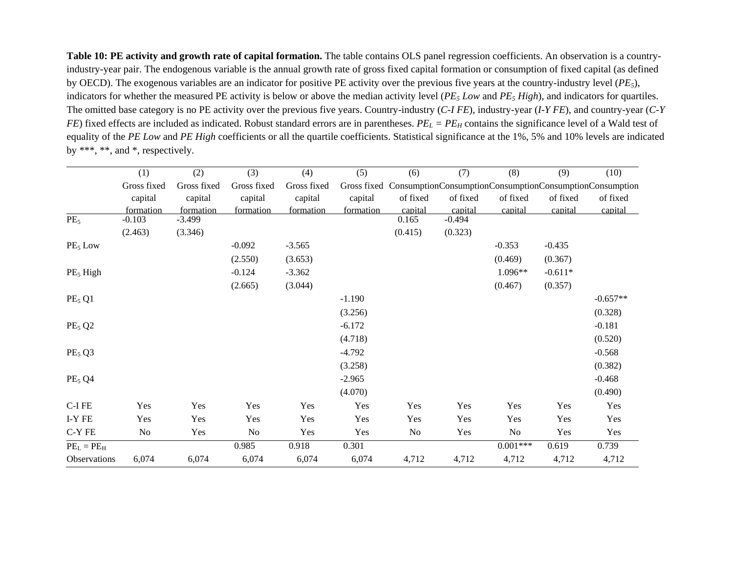Table 10: PE activity and growth rate of capital formation. The table contains OLS panel regression coefficients. An observation is a countryindustry-year pair. The endogenous variable is the annual growth rate of gross fixed capital formation or consumption of fixed capital (as defined by OECD). The exogenous variables are an indicator for positive PE activity over the previous five years at the country-industry level (*PE5*), indicators for whether the measured PE activity is below or above the median activity level (*PE5 Low* and *PE5 High*), and indicators for quartiles. The omitted base category is no PE activity over the previous five years. Country-industry (*C-I FE*), industry-year (*I-Y FE*), and country-year (*C-Y FE*) fixed effects are included as indicated. Robust standard errors are in parentheses.  $PE<sub>L</sub> = PE<sub>H</sub>$  contains the significance level of a Wald test of equality of the *PE Low* and *PE High* coefficients or all the quartile coefficients. Statistical significance at the 1%, 5% and 10% levels are indicated by \*\*\*, \*\*, and \*, respectively.

|                                | (1)         | (2)         | (3)         | (4)         | (5)       | (6)      | (7)      | (8)        | (9)       | (10)                                                                |
|--------------------------------|-------------|-------------|-------------|-------------|-----------|----------|----------|------------|-----------|---------------------------------------------------------------------|
|                                | Gross fixed | Gross fixed | Gross fixed | Gross fixed |           |          |          |            |           | Gross fixed ConsumptionConsumptionConsumptionConsumptionConsumption |
|                                | capital     | capital     | capital     | capital     | capital   | of fixed | of fixed | of fixed   | of fixed  | of fixed                                                            |
|                                | formation   | formation   | formation   | formation   | formation | capital  | capital  | capital    | capital   | capital                                                             |
| PE <sub>5</sub>                | $-0.103$    | $-3.499$    |             |             |           | 0.165    | $-0.494$ |            |           |                                                                     |
|                                | (2.463)     | (3.346)     |             |             |           | (0.415)  | (0.323)  |            |           |                                                                     |
| $PE5$ Low                      |             |             | $-0.092$    | $-3.565$    |           |          |          | $-0.353$   | $-0.435$  |                                                                     |
|                                |             |             | (2.550)     | (3.653)     |           |          |          | (0.469)    | (0.367)   |                                                                     |
| PE <sub>5</sub> High           |             |             | $-0.124$    | $-3.362$    |           |          |          | $1.096**$  | $-0.611*$ |                                                                     |
|                                |             |             | (2.665)     | (3.044)     |           |          |          | (0.467)    | (0.357)   |                                                                     |
| PE <sub>5</sub> Q1             |             |             |             |             | $-1.190$  |          |          |            |           | $-0.657**$                                                          |
|                                |             |             |             |             | (3.256)   |          |          |            |           | (0.328)                                                             |
| PE <sub>5</sub> Q <sub>2</sub> |             |             |             |             | $-6.172$  |          |          |            |           | $-0.181$                                                            |
|                                |             |             |             |             | (4.718)   |          |          |            |           | (0.520)                                                             |
| PE <sub>5</sub> Q3             |             |             |             |             | $-4.792$  |          |          |            |           | $-0.568$                                                            |
|                                |             |             |             |             | (3.258)   |          |          |            |           | (0.382)                                                             |
| PE <sub>5</sub> Q <sub>4</sub> |             |             |             |             | $-2.965$  |          |          |            |           | $-0.468$                                                            |
|                                |             |             |             |             | (4.070)   |          |          |            |           | (0.490)                                                             |
| C-I FE                         | Yes         | Yes         | Yes         | Yes         | Yes       | Yes      | Yes      | Yes        | Yes       | Yes                                                                 |
| I-Y FE                         | Yes         | Yes         | Yes         | Yes         | Yes       | Yes      | Yes      | Yes        | Yes       | Yes                                                                 |
| C-Y FE                         | No          | Yes         | $\rm No$    | Yes         | Yes       | No       | Yes      | No         | Yes       | Yes                                                                 |
| $PEL = PEH$                    |             |             | 0.985       | 0.918       | 0.301     |          |          | $0.001***$ | 0.619     | 0.739                                                               |
| <b>Observations</b>            | 6,074       | 6,074       | 6,074       | 6,074       | 6,074     | 4,712    | 4,712    | 4,712      | 4,712     | 4,712                                                               |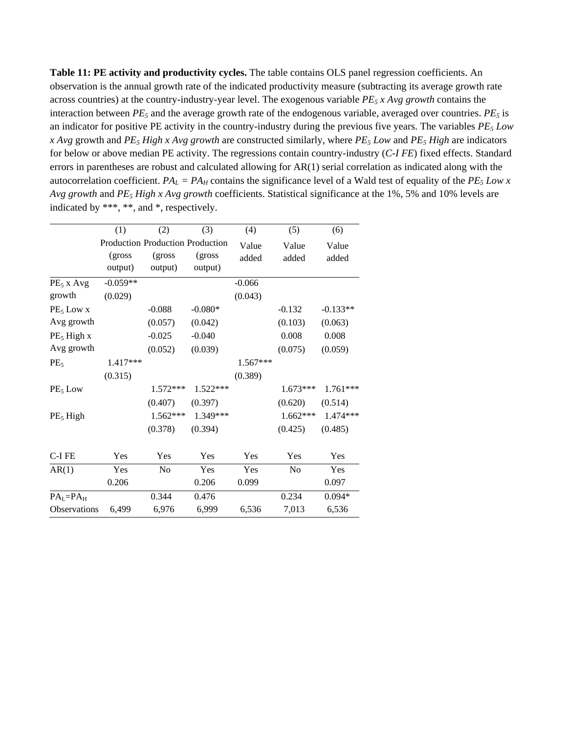**Table 11: PE activity and productivity cycles.** The table contains OLS panel regression coefficients. An observation is the annual growth rate of the indicated productivity measure (subtracting its average growth rate across countries) at the country-industry-year level. The exogenous variable *PE5 x Avg growth* contains the interaction between  $PE_5$  and the average growth rate of the endogenous variable, averaged over countries.  $PE_5$  is an indicator for positive PE activity in the country-industry during the previous five years. The variables *PE5 Low x Avg* growth and *PE5 High x Avg growth* are constructed similarly, where *PE5 Low* and *PE5 High* are indicators for below or above median PE activity. The regressions contain country-industry (*C-I FE*) fixed effects. Standard errors in parentheses are robust and calculated allowing for AR(1) serial correlation as indicated along with the autocorrelation coefficient.  $PA_L = PA_H$  contains the significance level of a Wald test of equality of the  $PE_5$  Low x *Avg growth* and *PE5 High x Avg growth* coefficients. Statistical significance at the 1%, 5% and 10% levels are indicated by \*\*\*, \*\*, and \*, respectively.

|                        | (1)                              | (2)      | (3)        | (4)      | (5)      | (6)        |
|------------------------|----------------------------------|----------|------------|----------|----------|------------|
|                        | Production Production Production |          |            | Value    | Value    | Value      |
|                        | (gross)                          | (gross   | (gross)    | added    | added    | added      |
|                        | output)                          | output)  | output)    |          |          |            |
| $PE5$ x Avg            | $-0.059**$                       |          |            | $-0.066$ |          |            |
| growth                 | (0.029)                          |          |            | (0.043)  |          |            |
| $PE5$ Low x            |                                  | $-0.088$ | $-0.080*$  |          | $-0.132$ | $-0.133**$ |
| Avg growth             |                                  | (0.057)  | (0.042)    |          | (0.103)  | (0.063)    |
| PE <sub>5</sub> High x |                                  | $-0.025$ | $-0.040$   |          | 0.008    | 0.008      |
| Avg growth             |                                  | (0.052)  | (0.039)    |          | (0.075)  | (0.059)    |
| PE <sub>5</sub>        | $1.417***$                       |          |            | 1.567*** |          |            |
|                        | (0.315)                          |          |            | (0.389)  |          |            |
| $PE5$ Low              |                                  | 1.572*** | $1.522***$ |          | 1.673*** | $1.761***$ |
|                        |                                  | (0.407)  | (0.397)    |          | (0.620)  | (0.514)    |
| PE <sub>5</sub> High   |                                  | 1.562*** | 1.349***   |          | 1.662*** | 1.474***   |
|                        |                                  | (0.378)  | (0.394)    |          | (0.425)  | (0.485)    |
| C-I FE                 | Yes                              | Yes      | Yes        | Yes      | Yes      | Yes        |
| AR(1)                  | Yes                              | No       | Yes        | Yes      | No       | Yes        |
|                        | 0.206                            |          | 0.206      | 0.099    |          | 0.097      |
| $PAL=PAH$              |                                  | 0.344    | 0.476      |          | 0.234    | $0.094*$   |
| <b>Observations</b>    | 6,499                            | 6,976    | 6,999      | 6,536    | 7,013    | 6,536      |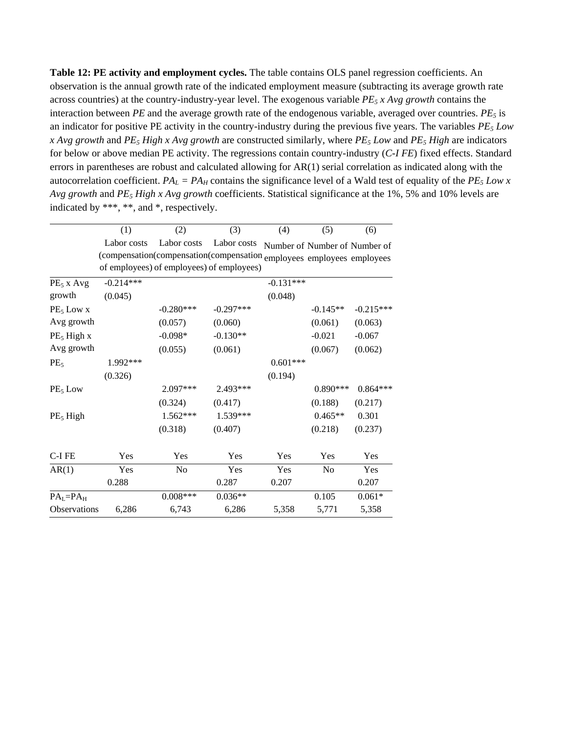**Table 12: PE activity and employment cycles.** The table contains OLS panel regression coefficients. An observation is the annual growth rate of the indicated employment measure (subtracting its average growth rate across countries) at the country-industry-year level. The exogenous variable *PE5 x Avg growth* contains the interaction between  $PE$  and the average growth rate of the endogenous variable, averaged over countries.  $PE_5$  is an indicator for positive PE activity in the country-industry during the previous five years. The variables *PE5 Low x Avg growth* and *PE5 High x Avg growth* are constructed similarly, where *PE5 Low* and *PE5 High* are indicators for below or above median PE activity. The regressions contain country-industry (*C-I FE*) fixed effects. Standard errors in parentheses are robust and calculated allowing for AR(1) serial correlation as indicated along with the autocorrelation coefficient.  $PA_L = PA_H$  contains the significance level of a Wald test of equality of the  $PE_5$  Low x *Avg growth* and *PE5 High x Avg growth* coefficients. Statistical significance at the 1%, 5% and 10% levels are indicated by \*\*\*, \*\*, and \*, respectively.

|                      | (1)         | (2)                                                                                                                | (3)         | (4)         | (5)                           | (6)         |
|----------------------|-------------|--------------------------------------------------------------------------------------------------------------------|-------------|-------------|-------------------------------|-------------|
|                      | Labor costs | Labor costs                                                                                                        | Labor costs |             | Number of Number of Number of |             |
|                      |             | (compensation(compensation(compensation employees employees employees<br>of employees) of employees) of employees) |             |             |                               |             |
| $PE_5$ x Avg         | $-0.214***$ |                                                                                                                    |             | $-0.131***$ |                               |             |
| growth               | (0.045)     |                                                                                                                    |             | (0.048)     |                               |             |
| $PE5$ Low x          |             | $-0.280***$                                                                                                        | $-0.297***$ |             | $-0.145**$                    | $-0.215***$ |
| Avg growth           |             | (0.057)                                                                                                            | (0.060)     |             | (0.061)                       | (0.063)     |
| $PE_5$ High x        |             | $-0.098*$                                                                                                          | $-0.130**$  |             | $-0.021$                      | $-0.067$    |
| Avg growth           |             | (0.055)                                                                                                            | (0.061)     |             | (0.067)                       | (0.062)     |
| PE <sub>5</sub>      | 1.992***    |                                                                                                                    |             | $0.601***$  |                               |             |
|                      | (0.326)     |                                                                                                                    |             | (0.194)     |                               |             |
| $PE5$ Low            |             | 2.097***                                                                                                           | 2.493***    |             | $0.890***$                    | $0.864***$  |
|                      |             | (0.324)                                                                                                            | (0.417)     |             | (0.188)                       | (0.217)     |
| PE <sub>5</sub> High |             | 1.562***                                                                                                           | 1.539***    |             | $0.465**$                     | 0.301       |
|                      |             | (0.318)                                                                                                            | (0.407)     |             | (0.218)                       | (0.237)     |
| C-I FE               | Yes         | Yes                                                                                                                | Yes         | Yes         | Yes                           | Yes         |
| AR(1)                | Yes         | N <sub>0</sub>                                                                                                     | Yes         | Yes         | N <sub>0</sub>                | Yes         |
|                      | 0.288       |                                                                                                                    | 0.287       | 0.207       |                               | 0.207       |
| $PAL=PAH$            |             | $0.008***$                                                                                                         | $0.036**$   |             | 0.105                         | $0.061*$    |
| Observations         | 6,286       | 6,743                                                                                                              | 6,286       | 5,358       | 5,771                         | 5,358       |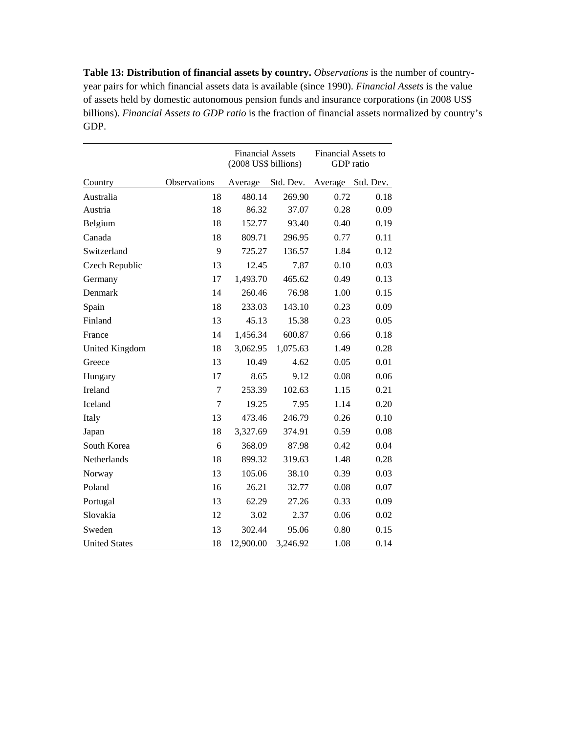**Table 13: Distribution of financial assets by country.** *Observations* is the number of countryyear pairs for which financial assets data is available (since 1990). *Financial Assets* is the value of assets held by domestic autonomous pension funds and insurance corporations (in 2008 US\$ billions). *Financial Assets to GDP ratio* is the fraction of financial assets normalized by country's GDP.

|                       |              | <b>Financial Assets</b><br>(2008 US\$ billions) |           | <b>Financial Assets to</b><br>GDP ratio |           |
|-----------------------|--------------|-------------------------------------------------|-----------|-----------------------------------------|-----------|
| Country               | Observations | Average                                         | Std. Dev. | Average                                 | Std. Dev. |
| Australia             | 18           | 480.14                                          | 269.90    | 0.72                                    | 0.18      |
| Austria               | 18           | 86.32                                           | 37.07     | 0.28                                    | 0.09      |
| Belgium               | 18           | 152.77                                          | 93.40     | 0.40                                    | 0.19      |
| Canada                | 18           | 809.71                                          | 296.95    | 0.77                                    | 0.11      |
| Switzerland           | 9            | 725.27                                          | 136.57    | 1.84                                    | 0.12      |
| Czech Republic        | 13           | 12.45                                           | 7.87      | 0.10                                    | 0.03      |
| Germany               | 17           | 1,493.70                                        | 465.62    | 0.49                                    | 0.13      |
| Denmark               | 14           | 260.46                                          | 76.98     | 1.00                                    | 0.15      |
| Spain                 | 18           | 233.03                                          | 143.10    | 0.23                                    | 0.09      |
| Finland               | 13           | 45.13                                           | 15.38     | 0.23                                    | 0.05      |
| France                | 14           | 1,456.34                                        | 600.87    | 0.66                                    | 0.18      |
| <b>United Kingdom</b> | 18           | 3,062.95                                        | 1,075.63  | 1.49                                    | 0.28      |
| Greece                | 13           | 10.49                                           | 4.62      | 0.05                                    | 0.01      |
| Hungary               | 17           | 8.65                                            | 9.12      | 0.08                                    | 0.06      |
| Ireland               | 7            | 253.39                                          | 102.63    | 1.15                                    | 0.21      |
| Iceland               | 7            | 19.25                                           | 7.95      | 1.14                                    | 0.20      |
| Italy                 | 13           | 473.46                                          | 246.79    | 0.26                                    | 0.10      |
| Japan                 | 18           | 3,327.69                                        | 374.91    | 0.59                                    | 0.08      |
| South Korea           | 6            | 368.09                                          | 87.98     | 0.42                                    | 0.04      |
| Netherlands           | 18           | 899.32                                          | 319.63    | 1.48                                    | 0.28      |
| Norway                | 13           | 105.06                                          | 38.10     | 0.39                                    | 0.03      |
| Poland                | 16           | 26.21                                           | 32.77     | 0.08                                    | 0.07      |
| Portugal              | 13           | 62.29                                           | 27.26     | 0.33                                    | 0.09      |
| Slovakia              | 12           | 3.02                                            | 2.37      | 0.06                                    | 0.02      |
| Sweden                | 13           | 302.44                                          | 95.06     | 0.80                                    | 0.15      |
| <b>United States</b>  | 18           | 12,900.00                                       | 3,246.92  | 1.08                                    | 0.14      |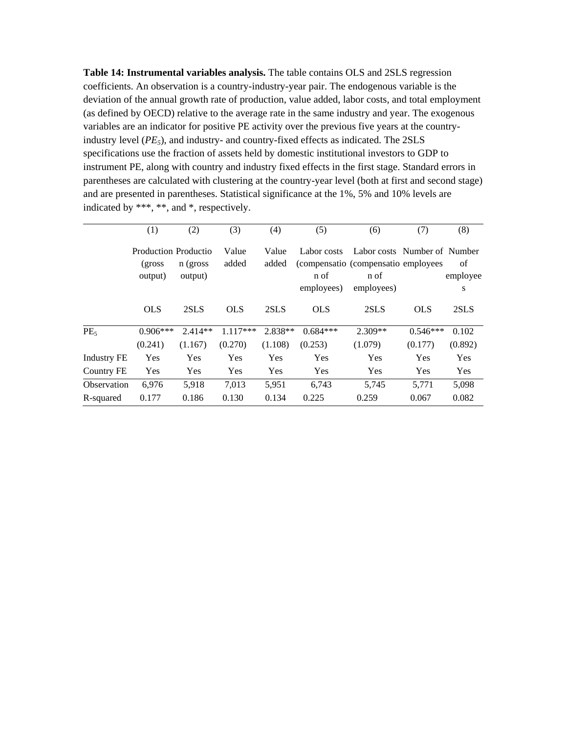**Table 14: Instrumental variables analysis.** The table contains OLS and 2SLS regression coefficients. An observation is a country-industry-year pair. The endogenous variable is the deviation of the annual growth rate of production, value added, labor costs, and total employment (as defined by OECD) relative to the average rate in the same industry and year. The exogenous variables are an indicator for positive PE activity over the previous five years at the countryindustry level  $(PE<sub>5</sub>)$ , and industry- and country-fixed effects as indicated. The  $2SLS$ specifications use the fraction of assets held by domestic institutional investors to GDP to instrument PE, along with country and industry fixed effects in the first stage. Standard errors in parentheses are calculated with clustering at the country-year level (both at first and second stage) and are presented in parentheses. Statistical significance at the 1%, 5% and 10% levels are indicated by \*\*\*, \*\*, and \*, respectively.

|                    | (1)                                        | (2)                  | (3)                   | (4)                | (5)                      | (6)                                                                          | (7)                   | (8)              |
|--------------------|--------------------------------------------|----------------------|-----------------------|--------------------|--------------------------|------------------------------------------------------------------------------|-----------------------|------------------|
|                    | Production Productio<br>(gross)<br>output) | n (gross<br>output)  | Value<br>added        | Value<br>added     | Labor costs<br>n of      | Labor costs Number of Number<br>(compensatio (compensatio employees)<br>n of |                       | of<br>employee   |
|                    | <b>OLS</b>                                 | 2SLS                 | <b>OLS</b>            | 2SLS               | employees)<br><b>OLS</b> | employees)<br>2SLS                                                           | <b>OLS</b>            | S<br>2SLS        |
| PE <sub>5</sub>    | $0.906***$<br>(0.241)                      | $2.414**$<br>(1.167) | $1.117***$<br>(0.270) | 2.838**<br>(1.108) | $0.684***$<br>(0.253)    | $2.309**$<br>(1.079)                                                         | $0.546***$<br>(0.177) | 0.102<br>(0.892) |
| <b>Industry FE</b> | Yes                                        | Yes                  | Yes                   | Yes                | Yes                      | Yes                                                                          | Yes                   | Yes              |
| Country FE         | Yes                                        | Yes                  | Yes                   | Yes                | Yes                      | Yes                                                                          | Yes                   | Yes              |
| Observation        | 6.976                                      | 5,918                | 7,013                 | 5,951              | 6.743                    | 5,745                                                                        | 5,771                 | 5,098            |
| R-squared          | 0.177                                      | 0.186                | 0.130                 | 0.134              | 0.225                    | 0.259                                                                        | 0.067                 | 0.082            |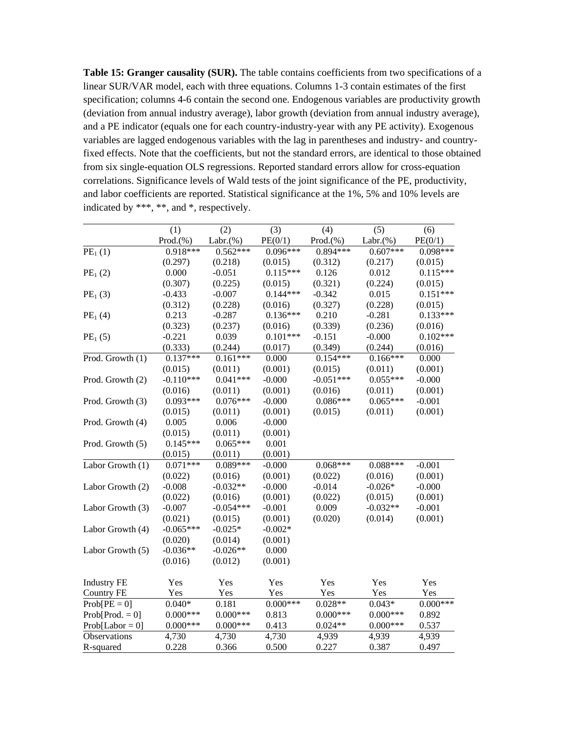**Table 15: Granger causality (SUR).** The table contains coefficients from two specifications of a linear SUR/VAR model, each with three equations. Columns 1-3 contain estimates of the first specification; columns 4-6 contain the second one. Endogenous variables are productivity growth (deviation from annual industry average), labor growth (deviation from annual industry average), and a PE indicator (equals one for each country-industry-year with any PE activity). Exogenous variables are lagged endogenous variables with the lag in parentheses and industry- and countryfixed effects. Note that the coefficients, but not the standard errors, are identical to those obtained from six single-equation OLS regressions. Reported standard errors allow for cross-equation correlations. Significance levels of Wald tests of the joint significance of the PE, productivity, and labor coefficients are reported. Statistical significance at the 1%, 5% and 10% levels are indicated by \*\*\*, \*\*, and \*, respectively.

|                     | (1)         | (2)          | (3)        | (4)         | (5)          | (6)        |
|---------------------|-------------|--------------|------------|-------------|--------------|------------|
|                     | Prod.(% )   | Labr. $(% )$ | PE(0/1)    | Prod.(%)    | Labr. $(\%)$ | PE(0/1)    |
| PE <sub>1</sub> (1) | $0.918***$  | $0.562***$   | $0.096***$ | $0.894***$  | $0.607***$   | $0.098***$ |
|                     | (0.297)     | (0.218)      | (0.015)    | (0.312)     | (0.217)      | (0.015)    |
| PE <sub>1</sub> (2) | 0.000       | $-0.051$     | $0.115***$ | 0.126       | 0.012        | $0.115***$ |
|                     | (0.307)     | (0.225)      | (0.015)    | (0.321)     | (0.224)      | (0.015)    |
| PE <sub>1</sub> (3) | $-0.433$    | $-0.007$     | $0.144***$ | $-0.342$    | 0.015        | $0.151***$ |
|                     | (0.312)     | (0.228)      | (0.016)    | (0.327)     | (0.228)      | (0.015)    |
| PE <sub>1</sub> (4) | 0.213       | $-0.287$     | $0.136***$ | 0.210       | $-0.281$     | $0.133***$ |
|                     | (0.323)     | (0.237)      | (0.016)    | (0.339)     | (0.236)      | (0.016)    |
| PE <sub>1</sub> (5) | $-0.221$    | 0.039        | $0.101***$ | $-0.151$    | $-0.000$     | $0.102***$ |
|                     | (0.333)     | (0.244)      | (0.017)    | (0.349)     | (0.244)      | (0.016)    |
| Prod. Growth (1)    | $0.137***$  | $0.161***$   | 0.000      | $0.154***$  | $0.166***$   | 0.000      |
|                     | (0.015)     | (0.011)      | (0.001)    | (0.015)     | (0.011)      | (0.001)    |
| Prod. Growth (2)    | $-0.110***$ | $0.041***$   | $-0.000$   | $-0.051***$ | $0.055***$   | $-0.000$   |
|                     | (0.016)     | (0.011)      | (0.001)    | (0.016)     | (0.011)      | (0.001)    |
| Prod. Growth (3)    | $0.093***$  | $0.076***$   | $-0.000$   | $0.086***$  | $0.065***$   | $-0.001$   |
|                     | (0.015)     | (0.011)      | (0.001)    | (0.015)     | (0.011)      | (0.001)    |
| Prod. Growth (4)    | 0.005       | 0.006        | $-0.000$   |             |              |            |
|                     | (0.015)     | (0.011)      | (0.001)    |             |              |            |
| Prod. Growth (5)    | $0.145***$  | $0.065***$   | 0.001      |             |              |            |
|                     | (0.015)     | (0.011)      | (0.001)    |             |              |            |
| Labor Growth (1)    | $0.071***$  | $0.089***$   | $-0.000$   | $0.068***$  | $0.088***$   | $-0.001$   |
|                     | (0.022)     | (0.016)      | (0.001)    | (0.022)     | (0.016)      | (0.001)    |
| Labor Growth (2)    | $-0.008$    | $-0.032**$   | $-0.000$   | $-0.014$    | $-0.026*$    | $-0.000$   |
|                     | (0.022)     | (0.016)      | (0.001)    | (0.022)     | (0.015)      | (0.001)    |
| Labor Growth (3)    | $-0.007$    | $-0.054***$  | $-0.001$   | 0.009       | $-0.032**$   | $-0.001$   |
|                     | (0.021)     | (0.015)      | (0.001)    | (0.020)     | (0.014)      | (0.001)    |
| Labor Growth (4)    | $-0.065***$ | $-0.025*$    | $-0.002*$  |             |              |            |
|                     | (0.020)     | (0.014)      | (0.001)    |             |              |            |
| Labor Growth (5)    | $-0.036**$  | $-0.026**$   | 0.000      |             |              |            |
|                     | (0.016)     | (0.012)      | (0.001)    |             |              |            |
| <b>Industry FE</b>  | Yes         | Yes          | Yes        | Yes         | Yes          | Yes        |
| <b>Country FE</b>   | Yes         | Yes          | Yes        | Yes         | Yes          | Yes        |
| $Prob[PE = 0]$      | $0.040*$    | 0.181        | $0.000***$ | $0.028**$   | $0.043*$     | $0.000***$ |
| $Prob[Prod. = 0]$   | $0.000***$  | $0.000***$   | 0.813      | $0.000***$  | $0.000***$   | 0.892      |
| $Prob[Label = 0]$   | $0.000***$  | $0.000***$   | 0.413      | $0.024**$   | $0.000***$   | 0.537      |
| Observations        | 4,730       | 4,730        | 4,730      | 4,939       | 4,939        | 4,939      |
| R-squared           | 0.228       | 0.366        | 0.500      | 0.227       | 0.387        | 0.497      |